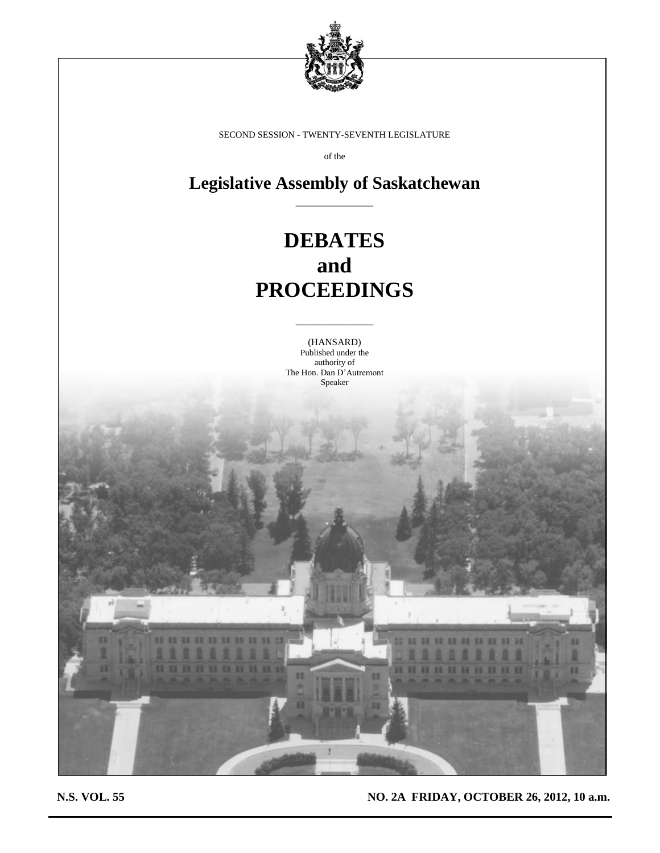

SECOND SESSION - TWENTY-SEVENTH LEGISLATURE

of the

**Legislative Assembly of Saskatchewan** \_\_\_\_\_\_\_\_\_\_\_\_

# **DEBATES and PROCEEDINGS**

(HANSARD) Published under the authority of The Hon. Dan D'Autremont Speaker

\_\_\_\_\_\_\_\_\_\_\_\_



**N.S. VOL. 55 NO. 2A FRIDAY, OCTOBER 26, 2012, 10 a.m.**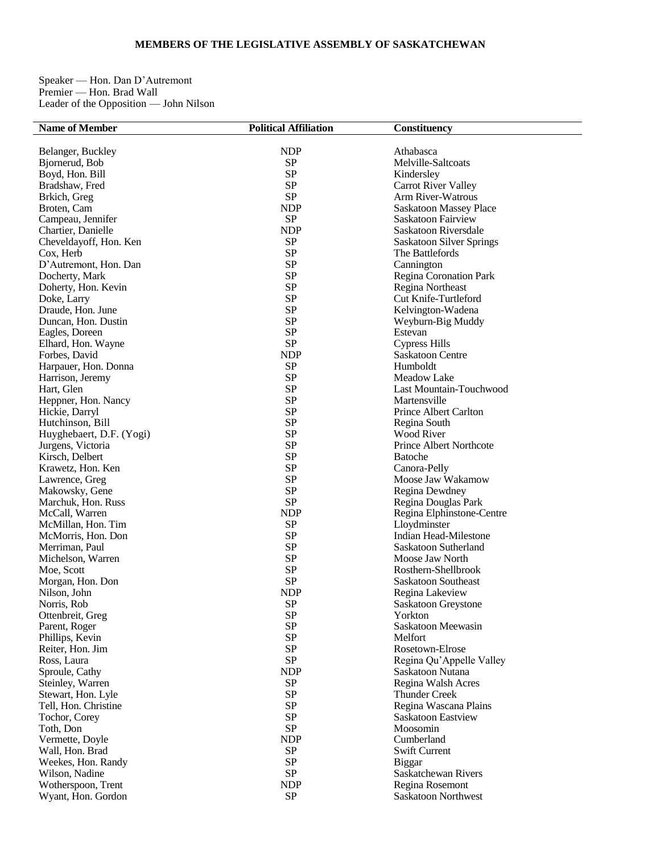# **MEMBERS OF THE LEGISLATIVE ASSEMBLY OF SASKATCHEWAN**

Speaker — Hon. Dan D'Autremont Premier — Hon. Brad Wall Leader of the Opposition — John Nilson

| <b>Name of Member</b>    | <b>Political Affiliation</b> | <b>Constituency</b>             |
|--------------------------|------------------------------|---------------------------------|
|                          |                              |                                 |
| Belanger, Buckley        | <b>NDP</b>                   | Athabasca                       |
| Bjornerud, Bob           | SP                           | Melville-Saltcoats              |
| Boyd, Hon. Bill          | SP                           | Kindersley                      |
| Bradshaw, Fred           | SP                           | <b>Carrot River Valley</b>      |
| Brkich, Greg             | SP                           | Arm River-Watrous               |
| Broten, Cam              | <b>NDP</b>                   | Saskatoon Massey Place          |
|                          | ${\rm SP}$                   |                                 |
| Campeau, Jennifer        |                              | Saskatoon Fairview              |
| Chartier, Danielle       | <b>NDP</b>                   | Saskatoon Riversdale            |
| Cheveldayoff, Hon. Ken   | SP                           | <b>Saskatoon Silver Springs</b> |
| Cox, Herb                | SP                           | The Battlefords                 |
| D'Autremont, Hon. Dan    | SP                           | Cannington                      |
| Docherty, Mark           | <b>SP</b>                    | Regina Coronation Park          |
| Doherty, Hon. Kevin      | SP                           | Regina Northeast                |
| Doke, Larry              | SP                           | Cut Knife-Turtleford            |
| Draude, Hon. June        | SP                           | Kelvington-Wadena               |
| Duncan, Hon. Dustin      | <b>SP</b>                    | Weyburn-Big Muddy               |
| Eagles, Doreen           | SP                           | Estevan                         |
| Elhard, Hon. Wayne       | SP                           | <b>Cypress Hills</b>            |
|                          |                              |                                 |
| Forbes, David            | <b>NDP</b>                   | <b>Saskatoon Centre</b>         |
| Harpauer, Hon. Donna     | SP                           | Humboldt                        |
| Harrison, Jeremy         | SP                           | <b>Meadow Lake</b>              |
| Hart, Glen               | SP                           | Last Mountain-Touchwood         |
| Heppner, Hon. Nancy      | SP                           | Martensville                    |
| Hickie, Darryl           | <b>SP</b>                    | Prince Albert Carlton           |
| Hutchinson, Bill         | SP                           | Regina South                    |
| Huyghebaert, D.F. (Yogi) | SP                           | <b>Wood River</b>               |
| Jurgens, Victoria        | SP                           | <b>Prince Albert Northcote</b>  |
| Kirsch, Delbert          | <b>SP</b>                    | Batoche                         |
| Krawetz, Hon. Ken        | SP                           | Canora-Pelly                    |
|                          | SP                           |                                 |
| Lawrence, Greg           |                              | Moose Jaw Wakamow               |
| Makowsky, Gene           | SP                           | Regina Dewdney                  |
| Marchuk, Hon. Russ       | SP                           | Regina Douglas Park             |
| McCall, Warren           | <b>NDP</b>                   | Regina Elphinstone-Centre       |
| McMillan, Hon. Tim       | SP                           | Lloydminster                    |
| McMorris, Hon. Don       | SP                           | Indian Head-Milestone           |
| Merriman, Paul           | <b>SP</b>                    | Saskatoon Sutherland            |
| Michelson, Warren        | SP                           | Moose Jaw North                 |
| Moe, Scott               | SP                           | Rosthern-Shellbrook             |
| Morgan, Hon. Don         | SP                           | Saskatoon Southeast             |
| Nilson, John             | <b>NDP</b>                   | Regina Lakeview                 |
| Norris, Rob              | <b>SP</b>                    | Saskatoon Greystone             |
| Ottenbreit, Greg         | SP                           | Yorkton                         |
| Parent, Roger            | SP                           | Saskatoon Meewasin              |
|                          | SP                           | Melfort                         |
| Phillips, Kevin          |                              |                                 |
| Reiter, Hon. Jim         | SP                           | Rosetown-Elrose                 |
| Ross, Laura              | SP                           | Regina Qu'Appelle Valley        |
| Sproule, Cathy           | <b>NDP</b>                   | Saskatoon Nutana                |
| Steinley, Warren         | SP                           | Regina Walsh Acres              |
| Stewart, Hon. Lyle       | SP                           | <b>Thunder Creek</b>            |
| Tell, Hon. Christine     | SP                           | Regina Wascana Plains           |
| Tochor, Corey            | SP                           | Saskatoon Eastview              |
| Toth, Don                | SP                           | Moosomin                        |
| Vermette, Doyle          | <b>NDP</b>                   | Cumberland                      |
| Wall, Hon. Brad          | ${\rm SP}$                   | <b>Swift Current</b>            |
| Weekes, Hon. Randy       | SP                           | <b>Biggar</b>                   |
| Wilson, Nadine           | SP                           | Saskatchewan Rivers             |
|                          | <b>NDP</b>                   | Regina Rosemont                 |
| Wotherspoon, Trent       |                              |                                 |
| Wyant, Hon. Gordon       | ${\rm SP}$                   | Saskatoon Northwest             |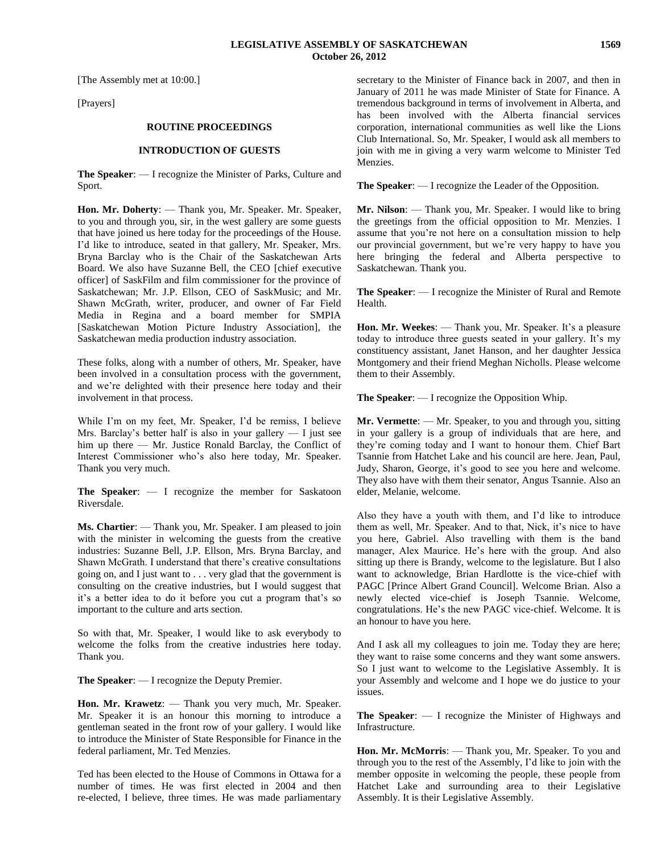[The Assembly met at 10:00.]

[Prayers]

# **ROUTINE PROCEEDINGS**

#### **INTRODUCTION OF GUESTS**

**The Speaker**: — I recognize the Minister of Parks, Culture and Sport.

**Hon. Mr. Doherty**: — Thank you, Mr. Speaker. Mr. Speaker, to you and through you, sir, in the west gallery are some guests that have joined us here today for the proceedings of the House. I'd like to introduce, seated in that gallery, Mr. Speaker, Mrs. Bryna Barclay who is the Chair of the Saskatchewan Arts Board. We also have Suzanne Bell, the CEO [chief executive officer] of SaskFilm and film commissioner for the province of Saskatchewan; Mr. J.P. Ellson, CEO of SaskMusic; and Mr. Shawn McGrath, writer, producer, and owner of Far Field Media in Regina and a board member for SMPIA [Saskatchewan Motion Picture Industry Association], the Saskatchewan media production industry association.

These folks, along with a number of others, Mr. Speaker, have been involved in a consultation process with the government, and we're delighted with their presence here today and their involvement in that process.

While I'm on my feet, Mr. Speaker, I'd be remiss, I believe Mrs. Barclay's better half is also in your gallery — I just see him up there — Mr. Justice Ronald Barclay, the Conflict of Interest Commissioner who's also here today, Mr. Speaker. Thank you very much.

**The Speaker**: — I recognize the member for Saskatoon Riversdale.

**Ms. Chartier**: — Thank you, Mr. Speaker. I am pleased to join with the minister in welcoming the guests from the creative industries: Suzanne Bell, J.P. Ellson, Mrs. Bryna Barclay, and Shawn McGrath. I understand that there's creative consultations going on, and I just want to . . . very glad that the government is consulting on the creative industries, but I would suggest that it's a better idea to do it before you cut a program that's so important to the culture and arts section.

So with that, Mr. Speaker, I would like to ask everybody to welcome the folks from the creative industries here today. Thank you.

**The Speaker**: — I recognize the Deputy Premier.

**Hon. Mr. Krawetz**: — Thank you very much, Mr. Speaker. Mr. Speaker it is an honour this morning to introduce a gentleman seated in the front row of your gallery. I would like to introduce the Minister of State Responsible for Finance in the federal parliament, Mr. Ted Menzies.

Ted has been elected to the House of Commons in Ottawa for a number of times. He was first elected in 2004 and then re-elected, I believe, three times. He was made parliamentary secretary to the Minister of Finance back in 2007, and then in January of 2011 he was made Minister of State for Finance. A tremendous background in terms of involvement in Alberta, and has been involved with the Alberta financial services corporation, international communities as well like the Lions Club International. So, Mr. Speaker, I would ask all members to join with me in giving a very warm welcome to Minister Ted Menzies.

**The Speaker**: — I recognize the Leader of the Opposition.

**Mr. Nilson**: — Thank you, Mr. Speaker. I would like to bring the greetings from the official opposition to Mr. Menzies. I assume that you're not here on a consultation mission to help our provincial government, but we're very happy to have you here bringing the federal and Alberta perspective to Saskatchewan. Thank you.

**The Speaker**: — I recognize the Minister of Rural and Remote Health.

**Hon. Mr. Weekes**: — Thank you, Mr. Speaker. It's a pleasure today to introduce three guests seated in your gallery. It's my constituency assistant, Janet Hanson, and her daughter Jessica Montgomery and their friend Meghan Nicholls. Please welcome them to their Assembly.

**The Speaker**: — I recognize the Opposition Whip.

**Mr. Vermette**: — Mr. Speaker, to you and through you, sitting in your gallery is a group of individuals that are here, and they're coming today and I want to honour them. Chief Bart Tsannie from Hatchet Lake and his council are here. Jean, Paul, Judy, Sharon, George, it's good to see you here and welcome. They also have with them their senator, Angus Tsannie. Also an elder, Melanie, welcome.

Also they have a youth with them, and I'd like to introduce them as well, Mr. Speaker. And to that, Nick, it's nice to have you here, Gabriel. Also travelling with them is the band manager, Alex Maurice. He's here with the group. And also sitting up there is Brandy, welcome to the legislature. But I also want to acknowledge, Brian Hardlotte is the vice-chief with PAGC [Prince Albert Grand Council]. Welcome Brian. Also a newly elected vice-chief is Joseph Tsannie. Welcome, congratulations. He's the new PAGC vice-chief. Welcome. It is an honour to have you here.

And I ask all my colleagues to join me. Today they are here; they want to raise some concerns and they want some answers. So I just want to welcome to the Legislative Assembly. It is your Assembly and welcome and I hope we do justice to your issues.

**The Speaker**: — I recognize the Minister of Highways and Infrastructure.

**Hon. Mr. McMorris**: — Thank you, Mr. Speaker. To you and through you to the rest of the Assembly, I'd like to join with the member opposite in welcoming the people, these people from Hatchet Lake and surrounding area to their Legislative Assembly. It is their Legislative Assembly.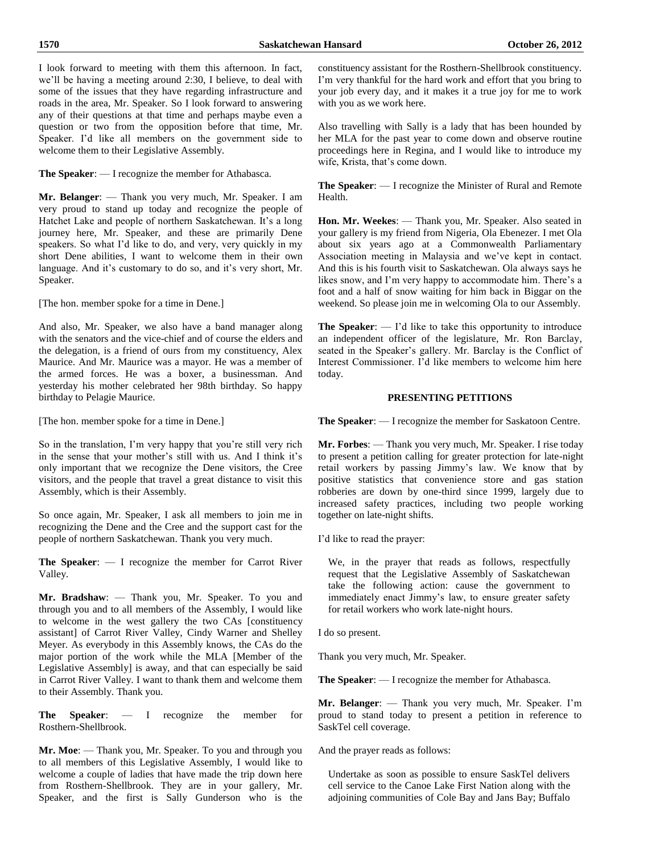I look forward to meeting with them this afternoon. In fact, we'll be having a meeting around 2:30, I believe, to deal with some of the issues that they have regarding infrastructure and roads in the area, Mr. Speaker. So I look forward to answering any of their questions at that time and perhaps maybe even a question or two from the opposition before that time, Mr. Speaker. I'd like all members on the government side to welcome them to their Legislative Assembly.

**The Speaker**: — I recognize the member for Athabasca.

**Mr. Belanger**: — Thank you very much, Mr. Speaker. I am very proud to stand up today and recognize the people of Hatchet Lake and people of northern Saskatchewan. It's a long journey here, Mr. Speaker, and these are primarily Dene speakers. So what I'd like to do, and very, very quickly in my short Dene abilities, I want to welcome them in their own language. And it's customary to do so, and it's very short, Mr. Speaker.

[The hon. member spoke for a time in Dene.]

And also, Mr. Speaker, we also have a band manager along with the senators and the vice-chief and of course the elders and the delegation, is a friend of ours from my constituency, Alex Maurice. And Mr. Maurice was a mayor. He was a member of the armed forces. He was a boxer, a businessman. And yesterday his mother celebrated her 98th birthday. So happy birthday to Pelagie Maurice.

[The hon. member spoke for a time in Dene.]

So in the translation, I'm very happy that you're still very rich in the sense that your mother's still with us. And I think it's only important that we recognize the Dene visitors, the Cree visitors, and the people that travel a great distance to visit this Assembly, which is their Assembly.

So once again, Mr. Speaker, I ask all members to join me in recognizing the Dene and the Cree and the support cast for the people of northern Saskatchewan. Thank you very much.

**The Speaker**: — I recognize the member for Carrot River Valley.

**Mr. Bradshaw**: — Thank you, Mr. Speaker. To you and through you and to all members of the Assembly, I would like to welcome in the west gallery the two CAs [constituency assistant] of Carrot River Valley, Cindy Warner and Shelley Meyer. As everybody in this Assembly knows, the CAs do the major portion of the work while the MLA [Member of the Legislative Assembly] is away, and that can especially be said in Carrot River Valley. I want to thank them and welcome them to their Assembly. Thank you.

**The Speaker**: — I recognize the member for Rosthern-Shellbrook.

**Mr. Moe**: — Thank you, Mr. Speaker. To you and through you to all members of this Legislative Assembly, I would like to welcome a couple of ladies that have made the trip down here from Rosthern-Shellbrook. They are in your gallery, Mr. Speaker, and the first is Sally Gunderson who is the constituency assistant for the Rosthern-Shellbrook constituency. I'm very thankful for the hard work and effort that you bring to your job every day, and it makes it a true joy for me to work with you as we work here.

Also travelling with Sally is a lady that has been hounded by her MLA for the past year to come down and observe routine proceedings here in Regina, and I would like to introduce my wife, Krista, that's come down.

**The Speaker**: — I recognize the Minister of Rural and Remote Health.

**Hon. Mr. Weekes**: — Thank you, Mr. Speaker. Also seated in your gallery is my friend from Nigeria, Ola Ebenezer. I met Ola about six years ago at a Commonwealth Parliamentary Association meeting in Malaysia and we've kept in contact. And this is his fourth visit to Saskatchewan. Ola always says he likes snow, and I'm very happy to accommodate him. There's a foot and a half of snow waiting for him back in Biggar on the weekend. So please join me in welcoming Ola to our Assembly.

**The Speaker**: — I'd like to take this opportunity to introduce an independent officer of the legislature, Mr. Ron Barclay, seated in the Speaker's gallery. Mr. Barclay is the Conflict of Interest Commissioner. I'd like members to welcome him here today.

# **PRESENTING PETITIONS**

**The Speaker**: — I recognize the member for Saskatoon Centre.

**Mr. Forbes**: — Thank you very much, Mr. Speaker. I rise today to present a petition calling for greater protection for late-night retail workers by passing Jimmy's law. We know that by positive statistics that convenience store and gas station robberies are down by one-third since 1999, largely due to increased safety practices, including two people working together on late-night shifts.

I'd like to read the prayer:

We, in the prayer that reads as follows, respectfully request that the Legislative Assembly of Saskatchewan take the following action: cause the government to immediately enact Jimmy's law, to ensure greater safety for retail workers who work late-night hours.

I do so present.

Thank you very much, Mr. Speaker.

**The Speaker**: — I recognize the member for Athabasca.

**Mr. Belanger**: — Thank you very much, Mr. Speaker. I'm proud to stand today to present a petition in reference to SaskTel cell coverage.

And the prayer reads as follows:

Undertake as soon as possible to ensure SaskTel delivers cell service to the Canoe Lake First Nation along with the adjoining communities of Cole Bay and Jans Bay; Buffalo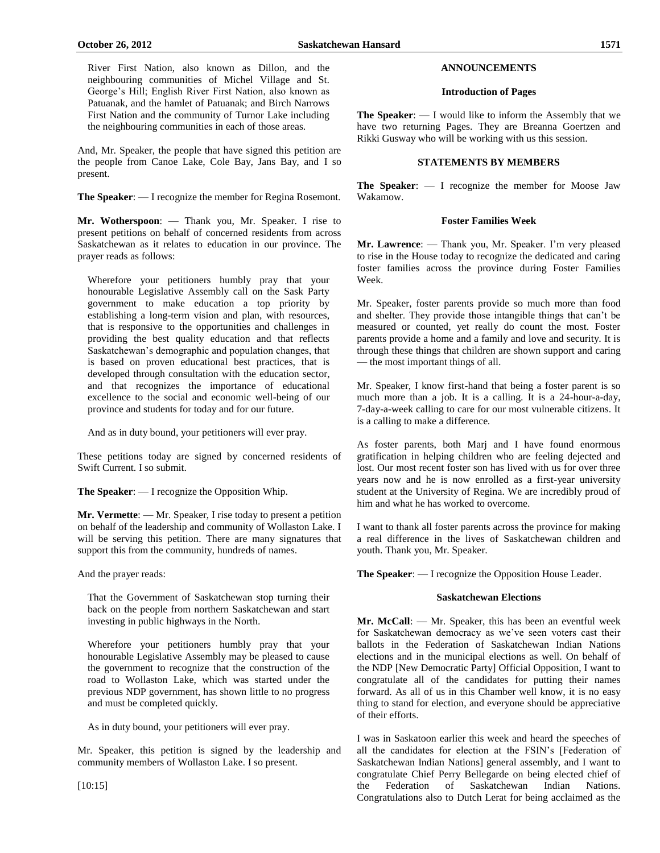And, Mr. Speaker, the people that have signed this petition are the people from Canoe Lake, Cole Bay, Jans Bay, and I so present.

**The Speaker**: — I recognize the member for Regina Rosemont.

**Mr. Wotherspoon**: — Thank you, Mr. Speaker. I rise to present petitions on behalf of concerned residents from across Saskatchewan as it relates to education in our province. The prayer reads as follows:

Wherefore your petitioners humbly pray that your honourable Legislative Assembly call on the Sask Party government to make education a top priority by establishing a long-term vision and plan, with resources, that is responsive to the opportunities and challenges in providing the best quality education and that reflects Saskatchewan's demographic and population changes, that is based on proven educational best practices, that is developed through consultation with the education sector, and that recognizes the importance of educational excellence to the social and economic well-being of our province and students for today and for our future.

And as in duty bound, your petitioners will ever pray.

These petitions today are signed by concerned residents of Swift Current. I so submit.

**The Speaker**: — I recognize the Opposition Whip.

**Mr. Vermette**: — Mr. Speaker, I rise today to present a petition on behalf of the leadership and community of Wollaston Lake. I will be serving this petition. There are many signatures that support this from the community, hundreds of names.

And the prayer reads:

That the Government of Saskatchewan stop turning their back on the people from northern Saskatchewan and start investing in public highways in the North.

Wherefore your petitioners humbly pray that your honourable Legislative Assembly may be pleased to cause the government to recognize that the construction of the road to Wollaston Lake, which was started under the previous NDP government, has shown little to no progress and must be completed quickly.

As in duty bound, your petitioners will ever pray.

Mr. Speaker, this petition is signed by the leadership and community members of Wollaston Lake. I so present.

# **ANNOUNCEMENTS**

# **Introduction of Pages**

**The Speaker**: — I would like to inform the Assembly that we have two returning Pages. They are Breanna Goertzen and Rikki Gusway who will be working with us this session.

# **STATEMENTS BY MEMBERS**

**The Speaker**: — I recognize the member for Moose Jaw Wakamow.

# **Foster Families Week**

**Mr. Lawrence**: — Thank you, Mr. Speaker. I'm very pleased to rise in the House today to recognize the dedicated and caring foster families across the province during Foster Families Week.

Mr. Speaker, foster parents provide so much more than food and shelter. They provide those intangible things that can't be measured or counted, yet really do count the most. Foster parents provide a home and a family and love and security. It is through these things that children are shown support and caring — the most important things of all.

Mr. Speaker, I know first-hand that being a foster parent is so much more than a job. It is a calling. It is a 24-hour-a-day, 7-day-a-week calling to care for our most vulnerable citizens. It is a calling to make a difference.

As foster parents, both Marj and I have found enormous gratification in helping children who are feeling dejected and lost. Our most recent foster son has lived with us for over three years now and he is now enrolled as a first-year university student at the University of Regina. We are incredibly proud of him and what he has worked to overcome.

I want to thank all foster parents across the province for making a real difference in the lives of Saskatchewan children and youth. Thank you, Mr. Speaker.

**The Speaker**: — I recognize the Opposition House Leader.

# **Saskatchewan Elections**

**Mr. McCall**: — Mr. Speaker, this has been an eventful week for Saskatchewan democracy as we've seen voters cast their ballots in the Federation of Saskatchewan Indian Nations elections and in the municipal elections as well. On behalf of the NDP [New Democratic Party] Official Opposition, I want to congratulate all of the candidates for putting their names forward. As all of us in this Chamber well know, it is no easy thing to stand for election, and everyone should be appreciative of their efforts.

I was in Saskatoon earlier this week and heard the speeches of all the candidates for election at the FSIN's [Federation of Saskatchewan Indian Nations] general assembly, and I want to congratulate Chief Perry Bellegarde on being elected chief of the Federation of Saskatchewan Indian Nations. Congratulations also to Dutch Lerat for being acclaimed as the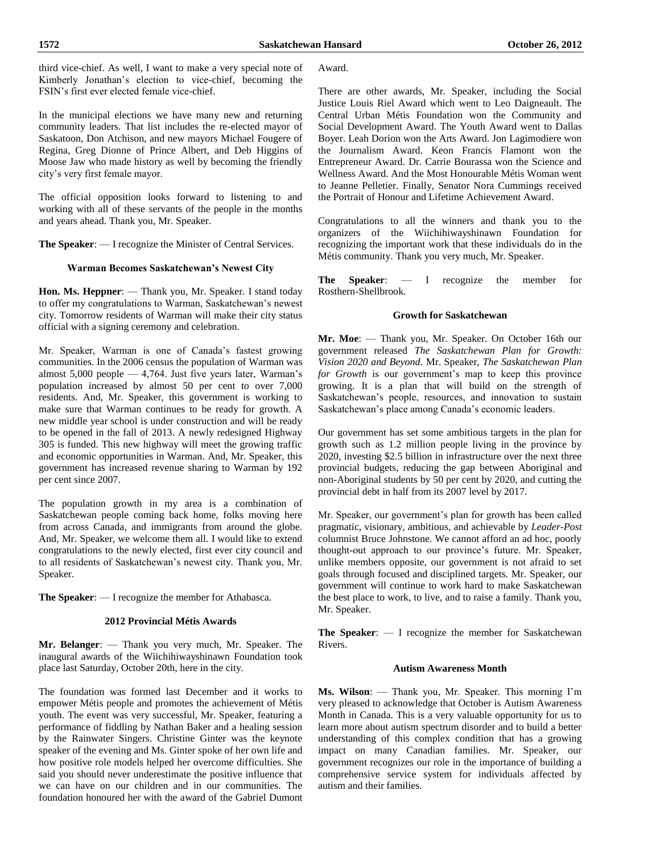In the municipal elections we have many new and returning community leaders. That list includes the re-elected mayor of Saskatoon, Don Atchison, and new mayors Michael Fougere of Regina, Greg Dionne of Prince Albert, and Deb Higgins of Moose Jaw who made history as well by becoming the friendly city's very first female mayor.

The official opposition looks forward to listening to and working with all of these servants of the people in the months and years ahead. Thank you, Mr. Speaker.

**The Speaker**: — I recognize the Minister of Central Services.

# **Warman Becomes Saskatchewan's Newest City**

**Hon. Ms. Heppner**: — Thank you, Mr. Speaker. I stand today to offer my congratulations to Warman, Saskatchewan's newest city. Tomorrow residents of Warman will make their city status official with a signing ceremony and celebration.

Mr. Speaker, Warman is one of Canada's fastest growing communities. In the 2006 census the population of Warman was almost  $5,000$  people  $-4,764$ . Just five years later, Warman's population increased by almost 50 per cent to over 7,000 residents. And, Mr. Speaker, this government is working to make sure that Warman continues to be ready for growth. A new middle year school is under construction and will be ready to be opened in the fall of 2013. A newly redesigned Highway 305 is funded. This new highway will meet the growing traffic and economic opportunities in Warman. And, Mr. Speaker, this government has increased revenue sharing to Warman by 192 per cent since 2007.

The population growth in my area is a combination of Saskatchewan people coming back home, folks moving here from across Canada, and immigrants from around the globe. And, Mr. Speaker, we welcome them all. I would like to extend congratulations to the newly elected, first ever city council and to all residents of Saskatchewan's newest city. Thank you, Mr. Speaker.

**The Speaker**: — I recognize the member for Athabasca.

# **2012 Provincial Métis Awards**

**Mr. Belanger**: — Thank you very much, Mr. Speaker. The inaugural awards of the Wiichihiwayshinawn Foundation took place last Saturday, October 20th, here in the city.

The foundation was formed last December and it works to empower Métis people and promotes the achievement of Métis youth. The event was very successful, Mr. Speaker, featuring a performance of fiddling by Nathan Baker and a healing session by the Rainwater Singers. Christine Ginter was the keynote speaker of the evening and Ms. Ginter spoke of her own life and how positive role models helped her overcome difficulties. She said you should never underestimate the positive influence that we can have on our children and in our communities. The foundation honoured her with the award of the Gabriel Dumont

Award.

There are other awards, Mr. Speaker, including the Social Justice Louis Riel Award which went to Leo Daigneault. The Central Urban Métis Foundation won the Community and Social Development Award. The Youth Award went to Dallas Boyer. Leah Dorion won the Arts Award. Jon Lagimodiere won the Journalism Award. Keon Francis Flamont won the Entrepreneur Award. Dr. Carrie Bourassa won the Science and Wellness Award. And the Most Honourable Métis Woman went to Jeanne Pelletier. Finally, Senator Nora Cummings received the Portrait of Honour and Lifetime Achievement Award.

Congratulations to all the winners and thank you to the organizers of the Wiichihiwayshinawn Foundation for recognizing the important work that these individuals do in the Métis community. Thank you very much, Mr. Speaker.

**The Speaker**: — I recognize the member for Rosthern-Shellbrook.

# **Growth for Saskatchewan**

**Mr. Moe**: — Thank you, Mr. Speaker. On October 16th our government released *The Saskatchewan Plan for Growth: Vision 2020 and Beyond*. Mr. Speaker, *The Saskatchewan Plan for Growth* is our government's map to keep this province growing. It is a plan that will build on the strength of Saskatchewan's people, resources, and innovation to sustain Saskatchewan's place among Canada's economic leaders.

Our government has set some ambitious targets in the plan for growth such as 1.2 million people living in the province by 2020, investing \$2.5 billion in infrastructure over the next three provincial budgets, reducing the gap between Aboriginal and non-Aboriginal students by 50 per cent by 2020, and cutting the provincial debt in half from its 2007 level by 2017.

Mr. Speaker, our government's plan for growth has been called pragmatic, visionary, ambitious, and achievable by *Leader-Post* columnist Bruce Johnstone. We cannot afford an ad hoc, poorly thought-out approach to our province's future. Mr. Speaker, unlike members opposite, our government is not afraid to set goals through focused and disciplined targets. Mr. Speaker, our government will continue to work hard to make Saskatchewan the best place to work, to live, and to raise a family. Thank you, Mr. Speaker.

**The Speaker**: — I recognize the member for Saskatchewan Rivers.

# **Autism Awareness Month**

**Ms. Wilson**: — Thank you, Mr. Speaker. This morning I'm very pleased to acknowledge that October is Autism Awareness Month in Canada. This is a very valuable opportunity for us to learn more about autism spectrum disorder and to build a better understanding of this complex condition that has a growing impact on many Canadian families. Mr. Speaker, our government recognizes our role in the importance of building a comprehensive service system for individuals affected by autism and their families.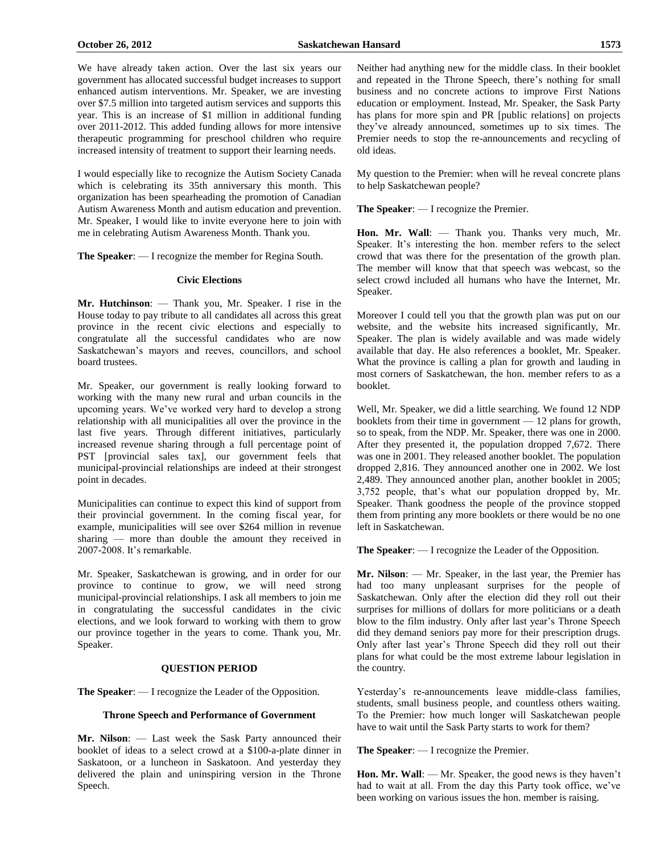We have already taken action. Over the last six years our government has allocated successful budget increases to support enhanced autism interventions. Mr. Speaker, we are investing over \$7.5 million into targeted autism services and supports this year. This is an increase of \$1 million in additional funding over 2011-2012. This added funding allows for more intensive therapeutic programming for preschool children who require increased intensity of treatment to support their learning needs.

I would especially like to recognize the Autism Society Canada which is celebrating its 35th anniversary this month. This organization has been spearheading the promotion of Canadian Autism Awareness Month and autism education and prevention. Mr. Speaker, I would like to invite everyone here to join with me in celebrating Autism Awareness Month. Thank you.

**The Speaker**: — I recognize the member for Regina South.

#### **Civic Elections**

**Mr. Hutchinson**: — Thank you, Mr. Speaker. I rise in the House today to pay tribute to all candidates all across this great province in the recent civic elections and especially to congratulate all the successful candidates who are now Saskatchewan's mayors and reeves, councillors, and school board trustees.

Mr. Speaker, our government is really looking forward to working with the many new rural and urban councils in the upcoming years. We've worked very hard to develop a strong relationship with all municipalities all over the province in the last five years. Through different initiatives, particularly increased revenue sharing through a full percentage point of PST [provincial sales tax], our government feels that municipal-provincial relationships are indeed at their strongest point in decades.

Municipalities can continue to expect this kind of support from their provincial government. In the coming fiscal year, for example, municipalities will see over \$264 million in revenue sharing — more than double the amount they received in 2007-2008. It's remarkable.

Mr. Speaker, Saskatchewan is growing, and in order for our province to continue to grow, we will need strong municipal-provincial relationships. I ask all members to join me in congratulating the successful candidates in the civic elections, and we look forward to working with them to grow our province together in the years to come. Thank you, Mr. Speaker.

#### **QUESTION PERIOD**

**The Speaker**: — I recognize the Leader of the Opposition.

#### **Throne Speech and Performance of Government**

**Mr. Nilson**: — Last week the Sask Party announced their booklet of ideas to a select crowd at a \$100-a-plate dinner in Saskatoon, or a luncheon in Saskatoon. And yesterday they delivered the plain and uninspiring version in the Throne Speech.

Neither had anything new for the middle class. In their booklet and repeated in the Throne Speech, there's nothing for small business and no concrete actions to improve First Nations education or employment. Instead, Mr. Speaker, the Sask Party has plans for more spin and PR [public relations] on projects they've already announced, sometimes up to six times. The Premier needs to stop the re-announcements and recycling of old ideas.

My question to the Premier: when will he reveal concrete plans to help Saskatchewan people?

**The Speaker**: — I recognize the Premier.

**Hon. Mr. Wall**: — Thank you. Thanks very much, Mr. Speaker. It's interesting the hon. member refers to the select crowd that was there for the presentation of the growth plan. The member will know that that speech was webcast, so the select crowd included all humans who have the Internet, Mr. Speaker.

Moreover I could tell you that the growth plan was put on our website, and the website hits increased significantly, Mr. Speaker. The plan is widely available and was made widely available that day. He also references a booklet, Mr. Speaker. What the province is calling a plan for growth and lauding in most corners of Saskatchewan, the hon. member refers to as a booklet.

Well, Mr. Speaker, we did a little searching. We found 12 NDP booklets from their time in government — 12 plans for growth, so to speak, from the NDP. Mr. Speaker, there was one in 2000. After they presented it, the population dropped 7,672. There was one in 2001. They released another booklet. The population dropped 2,816. They announced another one in 2002. We lost 2,489. They announced another plan, another booklet in 2005; 3,752 people, that's what our population dropped by, Mr. Speaker. Thank goodness the people of the province stopped them from printing any more booklets or there would be no one left in Saskatchewan.

**The Speaker**: — I recognize the Leader of the Opposition.

**Mr. Nilson**: — Mr. Speaker, in the last year, the Premier has had too many unpleasant surprises for the people of Saskatchewan. Only after the election did they roll out their surprises for millions of dollars for more politicians or a death blow to the film industry. Only after last year's Throne Speech did they demand seniors pay more for their prescription drugs. Only after last year's Throne Speech did they roll out their plans for what could be the most extreme labour legislation in the country.

Yesterday's re-announcements leave middle-class families, students, small business people, and countless others waiting. To the Premier: how much longer will Saskatchewan people have to wait until the Sask Party starts to work for them?

**The Speaker**: — I recognize the Premier.

**Hon. Mr. Wall**: — Mr. Speaker, the good news is they haven't had to wait at all. From the day this Party took office, we've been working on various issues the hon. member is raising.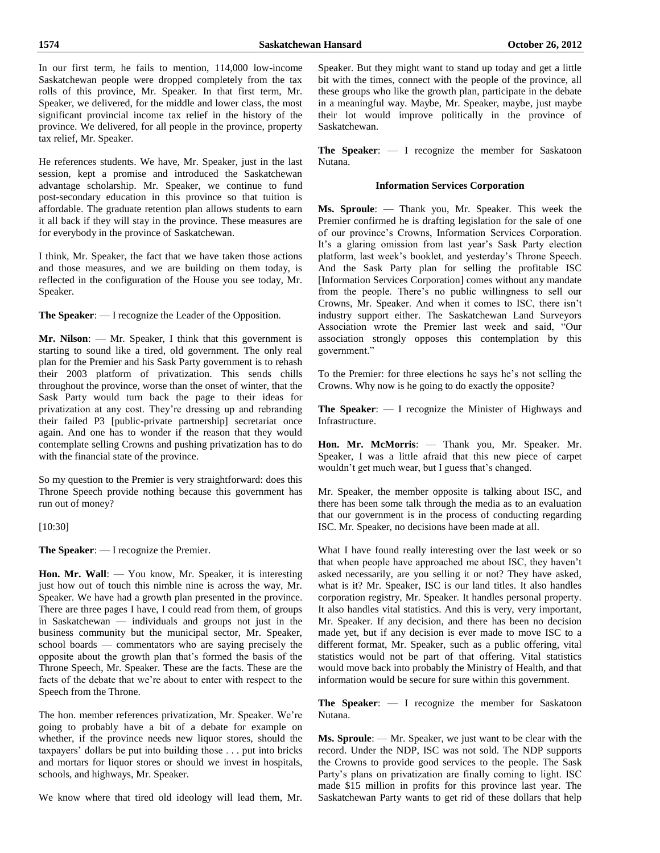In our first term, he fails to mention, 114,000 low-income Saskatchewan people were dropped completely from the tax rolls of this province, Mr. Speaker. In that first term, Mr. Speaker, we delivered, for the middle and lower class, the most significant provincial income tax relief in the history of the province. We delivered, for all people in the province, property tax relief, Mr. Speaker.

He references students. We have, Mr. Speaker, just in the last session, kept a promise and introduced the Saskatchewan advantage scholarship. Mr. Speaker, we continue to fund post-secondary education in this province so that tuition is affordable. The graduate retention plan allows students to earn it all back if they will stay in the province. These measures are for everybody in the province of Saskatchewan.

I think, Mr. Speaker, the fact that we have taken those actions and those measures, and we are building on them today, is reflected in the configuration of the House you see today, Mr. Speaker.

**The Speaker**: — I recognize the Leader of the Opposition.

**Mr. Nilson**: — Mr. Speaker, I think that this government is starting to sound like a tired, old government. The only real plan for the Premier and his Sask Party government is to rehash their 2003 platform of privatization. This sends chills throughout the province, worse than the onset of winter, that the Sask Party would turn back the page to their ideas for privatization at any cost. They're dressing up and rebranding their failed P3 [public-private partnership] secretariat once again. And one has to wonder if the reason that they would contemplate selling Crowns and pushing privatization has to do with the financial state of the province.

So my question to the Premier is very straightforward: does this Throne Speech provide nothing because this government has run out of money?

[10:30]

**The Speaker**: — I recognize the Premier.

**Hon. Mr. Wall**: — You know, Mr. Speaker, it is interesting just how out of touch this nimble nine is across the way, Mr. Speaker. We have had a growth plan presented in the province. There are three pages I have, I could read from them, of groups in Saskatchewan — individuals and groups not just in the business community but the municipal sector, Mr. Speaker, school boards — commentators who are saying precisely the opposite about the growth plan that's formed the basis of the Throne Speech, Mr. Speaker. These are the facts. These are the facts of the debate that we're about to enter with respect to the Speech from the Throne.

The hon. member references privatization, Mr. Speaker. We're going to probably have a bit of a debate for example on whether, if the province needs new liquor stores, should the taxpayers' dollars be put into building those . . . put into bricks and mortars for liquor stores or should we invest in hospitals, schools, and highways, Mr. Speaker.

We know where that tired old ideology will lead them, Mr.

Speaker. But they might want to stand up today and get a little bit with the times, connect with the people of the province, all these groups who like the growth plan, participate in the debate in a meaningful way. Maybe, Mr. Speaker, maybe, just maybe their lot would improve politically in the province of Saskatchewan.

**The Speaker**: — I recognize the member for Saskatoon Nutana.

# **Information Services Corporation**

**Ms. Sproule**: — Thank you, Mr. Speaker. This week the Premier confirmed he is drafting legislation for the sale of one of our province's Crowns, Information Services Corporation. It's a glaring omission from last year's Sask Party election platform, last week's booklet, and yesterday's Throne Speech. And the Sask Party plan for selling the profitable ISC [Information Services Corporation] comes without any mandate from the people. There's no public willingness to sell our Crowns, Mr. Speaker. And when it comes to ISC, there isn't industry support either. The Saskatchewan Land Surveyors Association wrote the Premier last week and said, "Our association strongly opposes this contemplation by this government."

To the Premier: for three elections he says he's not selling the Crowns. Why now is he going to do exactly the opposite?

**The Speaker**: — I recognize the Minister of Highways and Infrastructure.

**Hon. Mr. McMorris**: — Thank you, Mr. Speaker. Mr. Speaker, I was a little afraid that this new piece of carpet wouldn't get much wear, but I guess that's changed.

Mr. Speaker, the member opposite is talking about ISC, and there has been some talk through the media as to an evaluation that our government is in the process of conducting regarding ISC. Mr. Speaker, no decisions have been made at all.

What I have found really interesting over the last week or so that when people have approached me about ISC, they haven't asked necessarily, are you selling it or not? They have asked, what is it? Mr. Speaker, ISC is our land titles. It also handles corporation registry, Mr. Speaker. It handles personal property. It also handles vital statistics. And this is very, very important, Mr. Speaker. If any decision, and there has been no decision made yet, but if any decision is ever made to move ISC to a different format, Mr. Speaker, such as a public offering, vital statistics would not be part of that offering. Vital statistics would move back into probably the Ministry of Health, and that information would be secure for sure within this government.

**The Speaker**: — I recognize the member for Saskatoon Nutana.

**Ms. Sproule**: — Mr. Speaker, we just want to be clear with the record. Under the NDP, ISC was not sold. The NDP supports the Crowns to provide good services to the people. The Sask Party's plans on privatization are finally coming to light. ISC made \$15 million in profits for this province last year. The Saskatchewan Party wants to get rid of these dollars that help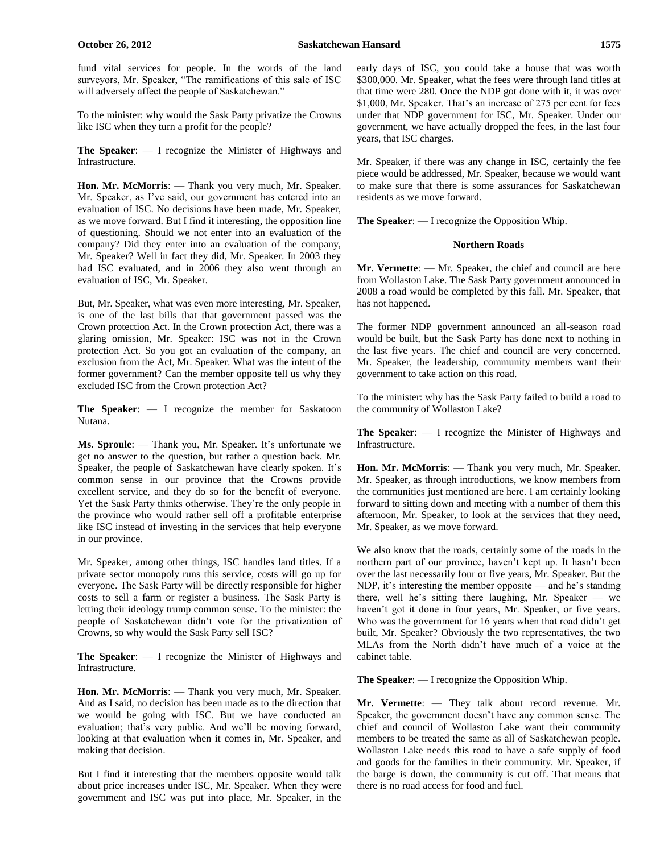fund vital services for people. In the words of the land surveyors, Mr. Speaker, "The ramifications of this sale of ISC will adversely affect the people of Saskatchewan."

To the minister: why would the Sask Party privatize the Crowns like ISC when they turn a profit for the people?

**The Speaker**: — I recognize the Minister of Highways and Infrastructure.

**Hon. Mr. McMorris**: — Thank you very much, Mr. Speaker. Mr. Speaker, as I've said, our government has entered into an evaluation of ISC. No decisions have been made, Mr. Speaker, as we move forward. But I find it interesting, the opposition line of questioning. Should we not enter into an evaluation of the company? Did they enter into an evaluation of the company, Mr. Speaker? Well in fact they did, Mr. Speaker. In 2003 they had ISC evaluated, and in 2006 they also went through an evaluation of ISC, Mr. Speaker.

But, Mr. Speaker, what was even more interesting, Mr. Speaker, is one of the last bills that that government passed was the Crown protection Act. In the Crown protection Act, there was a glaring omission, Mr. Speaker: ISC was not in the Crown protection Act. So you got an evaluation of the company, an exclusion from the Act, Mr. Speaker. What was the intent of the former government? Can the member opposite tell us why they excluded ISC from the Crown protection Act?

**The Speaker**: — I recognize the member for Saskatoon Nutana.

**Ms. Sproule**: — Thank you, Mr. Speaker. It's unfortunate we get no answer to the question, but rather a question back. Mr. Speaker, the people of Saskatchewan have clearly spoken. It's common sense in our province that the Crowns provide excellent service, and they do so for the benefit of everyone. Yet the Sask Party thinks otherwise. They're the only people in the province who would rather sell off a profitable enterprise like ISC instead of investing in the services that help everyone in our province.

Mr. Speaker, among other things, ISC handles land titles. If a private sector monopoly runs this service, costs will go up for everyone. The Sask Party will be directly responsible for higher costs to sell a farm or register a business. The Sask Party is letting their ideology trump common sense. To the minister: the people of Saskatchewan didn't vote for the privatization of Crowns, so why would the Sask Party sell ISC?

**The Speaker**: — I recognize the Minister of Highways and Infrastructure.

**Hon. Mr. McMorris**: — Thank you very much, Mr. Speaker. And as I said, no decision has been made as to the direction that we would be going with ISC. But we have conducted an evaluation; that's very public. And we'll be moving forward, looking at that evaluation when it comes in, Mr. Speaker, and making that decision.

But I find it interesting that the members opposite would talk about price increases under ISC, Mr. Speaker. When they were government and ISC was put into place, Mr. Speaker, in the early days of ISC, you could take a house that was worth \$300,000. Mr. Speaker, what the fees were through land titles at that time were 280. Once the NDP got done with it, it was over \$1,000, Mr. Speaker. That's an increase of 275 per cent for fees under that NDP government for ISC, Mr. Speaker. Under our government, we have actually dropped the fees, in the last four years, that ISC charges.

Mr. Speaker, if there was any change in ISC, certainly the fee piece would be addressed, Mr. Speaker, because we would want to make sure that there is some assurances for Saskatchewan residents as we move forward.

**The Speaker**: — I recognize the Opposition Whip.

# **Northern Roads**

**Mr. Vermette**: — Mr. Speaker, the chief and council are here from Wollaston Lake. The Sask Party government announced in 2008 a road would be completed by this fall. Mr. Speaker, that has not happened.

The former NDP government announced an all-season road would be built, but the Sask Party has done next to nothing in the last five years. The chief and council are very concerned. Mr. Speaker, the leadership, community members want their government to take action on this road.

To the minister: why has the Sask Party failed to build a road to the community of Wollaston Lake?

**The Speaker**: — I recognize the Minister of Highways and Infrastructure.

**Hon. Mr. McMorris**: — Thank you very much, Mr. Speaker. Mr. Speaker, as through introductions, we know members from the communities just mentioned are here. I am certainly looking forward to sitting down and meeting with a number of them this afternoon, Mr. Speaker, to look at the services that they need, Mr. Speaker, as we move forward.

We also know that the roads, certainly some of the roads in the northern part of our province, haven't kept up. It hasn't been over the last necessarily four or five years, Mr. Speaker. But the NDP, it's interesting the member opposite — and he's standing there, well he's sitting there laughing, Mr. Speaker — we haven't got it done in four years, Mr. Speaker, or five years. Who was the government for 16 years when that road didn't get built, Mr. Speaker? Obviously the two representatives, the two MLAs from the North didn't have much of a voice at the cabinet table.

**The Speaker**: — I recognize the Opposition Whip.

**Mr. Vermette**: — They talk about record revenue. Mr. Speaker, the government doesn't have any common sense. The chief and council of Wollaston Lake want their community members to be treated the same as all of Saskatchewan people. Wollaston Lake needs this road to have a safe supply of food and goods for the families in their community. Mr. Speaker, if the barge is down, the community is cut off. That means that there is no road access for food and fuel.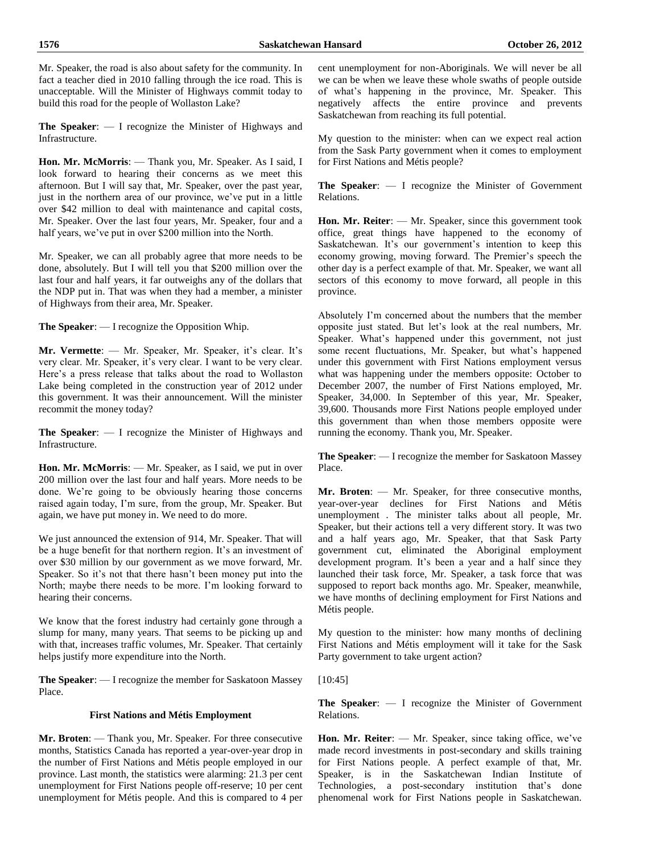Mr. Speaker, the road is also about safety for the community. In fact a teacher died in 2010 falling through the ice road. This is unacceptable. Will the Minister of Highways commit today to build this road for the people of Wollaston Lake?

**The Speaker**: — I recognize the Minister of Highways and Infrastructure.

**Hon. Mr. McMorris**: — Thank you, Mr. Speaker. As I said, I look forward to hearing their concerns as we meet this afternoon. But I will say that, Mr. Speaker, over the past year, just in the northern area of our province, we've put in a little over \$42 million to deal with maintenance and capital costs, Mr. Speaker. Over the last four years, Mr. Speaker, four and a half years, we've put in over \$200 million into the North.

Mr. Speaker, we can all probably agree that more needs to be done, absolutely. But I will tell you that \$200 million over the last four and half years, it far outweighs any of the dollars that the NDP put in. That was when they had a member, a minister of Highways from their area, Mr. Speaker.

**The Speaker**: — I recognize the Opposition Whip.

**Mr. Vermette**: — Mr. Speaker, Mr. Speaker, it's clear. It's very clear. Mr. Speaker, it's very clear. I want to be very clear. Here's a press release that talks about the road to Wollaston Lake being completed in the construction year of 2012 under this government. It was their announcement. Will the minister recommit the money today?

**The Speaker**: — I recognize the Minister of Highways and Infrastructure.

**Hon. Mr. McMorris**: — Mr. Speaker, as I said, we put in over 200 million over the last four and half years. More needs to be done. We're going to be obviously hearing those concerns raised again today, I'm sure, from the group, Mr. Speaker. But again, we have put money in. We need to do more.

We just announced the extension of 914, Mr. Speaker. That will be a huge benefit for that northern region. It's an investment of over \$30 million by our government as we move forward, Mr. Speaker. So it's not that there hasn't been money put into the North; maybe there needs to be more. I'm looking forward to hearing their concerns.

We know that the forest industry had certainly gone through a slump for many, many years. That seems to be picking up and with that, increases traffic volumes, Mr. Speaker. That certainly helps justify more expenditure into the North.

**The Speaker**: — I recognize the member for Saskatoon Massey Place.

# **First Nations and Métis Employment**

**Mr. Broten**: — Thank you, Mr. Speaker. For three consecutive months, Statistics Canada has reported a year-over-year drop in the number of First Nations and Métis people employed in our province. Last month, the statistics were alarming: 21.3 per cent unemployment for First Nations people off-reserve; 10 per cent unemployment for Métis people. And this is compared to 4 per

cent unemployment for non-Aboriginals. We will never be all we can be when we leave these whole swaths of people outside of what's happening in the province, Mr. Speaker. This negatively affects the entire province and prevents Saskatchewan from reaching its full potential.

My question to the minister: when can we expect real action from the Sask Party government when it comes to employment for First Nations and Métis people?

**The Speaker**: — I recognize the Minister of Government Relations.

**Hon. Mr. Reiter**: — Mr. Speaker, since this government took office, great things have happened to the economy of Saskatchewan. It's our government's intention to keep this economy growing, moving forward. The Premier's speech the other day is a perfect example of that. Mr. Speaker, we want all sectors of this economy to move forward, all people in this province.

Absolutely I'm concerned about the numbers that the member opposite just stated. But let's look at the real numbers, Mr. Speaker. What's happened under this government, not just some recent fluctuations, Mr. Speaker, but what's happened under this government with First Nations employment versus what was happening under the members opposite: October to December 2007, the number of First Nations employed, Mr. Speaker, 34,000. In September of this year, Mr. Speaker, 39,600. Thousands more First Nations people employed under this government than when those members opposite were running the economy. Thank you, Mr. Speaker.

**The Speaker**: — I recognize the member for Saskatoon Massey Place.

**Mr. Broten**: — Mr. Speaker, for three consecutive months, year-over-year declines for First Nations and Métis unemployment . The minister talks about all people, Mr. Speaker, but their actions tell a very different story. It was two and a half years ago, Mr. Speaker, that that Sask Party government cut, eliminated the Aboriginal employment development program. It's been a year and a half since they launched their task force, Mr. Speaker, a task force that was supposed to report back months ago. Mr. Speaker, meanwhile, we have months of declining employment for First Nations and Métis people.

My question to the minister: how many months of declining First Nations and Métis employment will it take for the Sask Party government to take urgent action?

[10:45]

**The Speaker**: — I recognize the Minister of Government Relations.

**Hon. Mr. Reiter**: — Mr. Speaker, since taking office, we've made record investments in post-secondary and skills training for First Nations people. A perfect example of that, Mr. Speaker, is in the Saskatchewan Indian Institute of Technologies, a post-secondary institution that's done phenomenal work for First Nations people in Saskatchewan.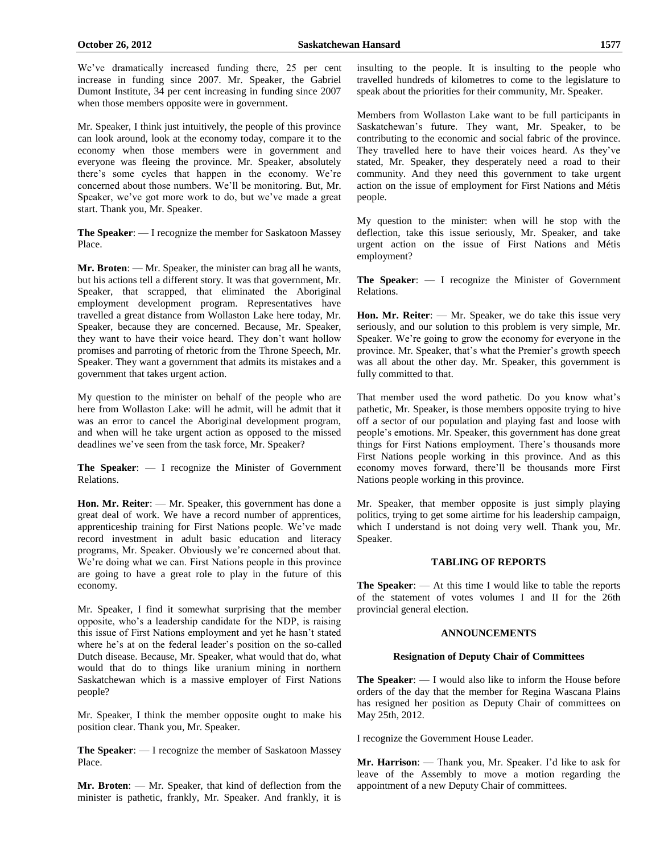We've dramatically increased funding there, 25 per cent increase in funding since 2007. Mr. Speaker, the Gabriel Dumont Institute, 34 per cent increasing in funding since 2007 when those members opposite were in government.

Mr. Speaker, I think just intuitively, the people of this province can look around, look at the economy today, compare it to the economy when those members were in government and everyone was fleeing the province. Mr. Speaker, absolutely there's some cycles that happen in the economy. We're concerned about those numbers. We'll be monitoring. But, Mr. Speaker, we've got more work to do, but we've made a great start. Thank you, Mr. Speaker.

**The Speaker**: — I recognize the member for Saskatoon Massey Place.

**Mr. Broten**: — Mr. Speaker, the minister can brag all he wants, but his actions tell a different story. It was that government, Mr. Speaker, that scrapped, that eliminated the Aboriginal employment development program. Representatives have travelled a great distance from Wollaston Lake here today, Mr. Speaker, because they are concerned. Because, Mr. Speaker, they want to have their voice heard. They don't want hollow promises and parroting of rhetoric from the Throne Speech, Mr. Speaker. They want a government that admits its mistakes and a government that takes urgent action.

My question to the minister on behalf of the people who are here from Wollaston Lake: will he admit, will he admit that it was an error to cancel the Aboriginal development program, and when will he take urgent action as opposed to the missed deadlines we've seen from the task force, Mr. Speaker?

**The Speaker**: — I recognize the Minister of Government Relations.

**Hon. Mr. Reiter**: — Mr. Speaker, this government has done a great deal of work. We have a record number of apprentices, apprenticeship training for First Nations people. We've made record investment in adult basic education and literacy programs, Mr. Speaker. Obviously we're concerned about that. We're doing what we can. First Nations people in this province are going to have a great role to play in the future of this economy.

Mr. Speaker, I find it somewhat surprising that the member opposite, who's a leadership candidate for the NDP, is raising this issue of First Nations employment and yet he hasn't stated where he's at on the federal leader's position on the so-called Dutch disease. Because, Mr. Speaker, what would that do, what would that do to things like uranium mining in northern Saskatchewan which is a massive employer of First Nations people?

Mr. Speaker, I think the member opposite ought to make his position clear. Thank you, Mr. Speaker.

**The Speaker**: — I recognize the member of Saskatoon Massey Place.

**Mr. Broten**: — Mr. Speaker, that kind of deflection from the minister is pathetic, frankly, Mr. Speaker. And frankly, it is insulting to the people. It is insulting to the people who travelled hundreds of kilometres to come to the legislature to speak about the priorities for their community, Mr. Speaker.

Members from Wollaston Lake want to be full participants in Saskatchewan's future. They want, Mr. Speaker, to be contributing to the economic and social fabric of the province. They travelled here to have their voices heard. As they've stated, Mr. Speaker, they desperately need a road to their community. And they need this government to take urgent action on the issue of employment for First Nations and Métis people.

My question to the minister: when will he stop with the deflection, take this issue seriously, Mr. Speaker, and take urgent action on the issue of First Nations and Métis employment?

**The Speaker**: — I recognize the Minister of Government Relations.

**Hon. Mr. Reiter**: — Mr. Speaker, we do take this issue very seriously, and our solution to this problem is very simple, Mr. Speaker. We're going to grow the economy for everyone in the province. Mr. Speaker, that's what the Premier's growth speech was all about the other day. Mr. Speaker, this government is fully committed to that.

That member used the word pathetic. Do you know what's pathetic, Mr. Speaker, is those members opposite trying to hive off a sector of our population and playing fast and loose with people's emotions. Mr. Speaker, this government has done great things for First Nations employment. There's thousands more First Nations people working in this province. And as this economy moves forward, there'll be thousands more First Nations people working in this province.

Mr. Speaker, that member opposite is just simply playing politics, trying to get some airtime for his leadership campaign, which I understand is not doing very well. Thank you, Mr. Speaker.

# **TABLING OF REPORTS**

**The Speaker**: — At this time I would like to table the reports of the statement of votes volumes I and II for the 26th provincial general election.

#### **ANNOUNCEMENTS**

#### **Resignation of Deputy Chair of Committees**

**The Speaker**: — I would also like to inform the House before orders of the day that the member for Regina Wascana Plains has resigned her position as Deputy Chair of committees on May 25th, 2012.

I recognize the Government House Leader.

**Mr. Harrison**: — Thank you, Mr. Speaker. I'd like to ask for leave of the Assembly to move a motion regarding the appointment of a new Deputy Chair of committees.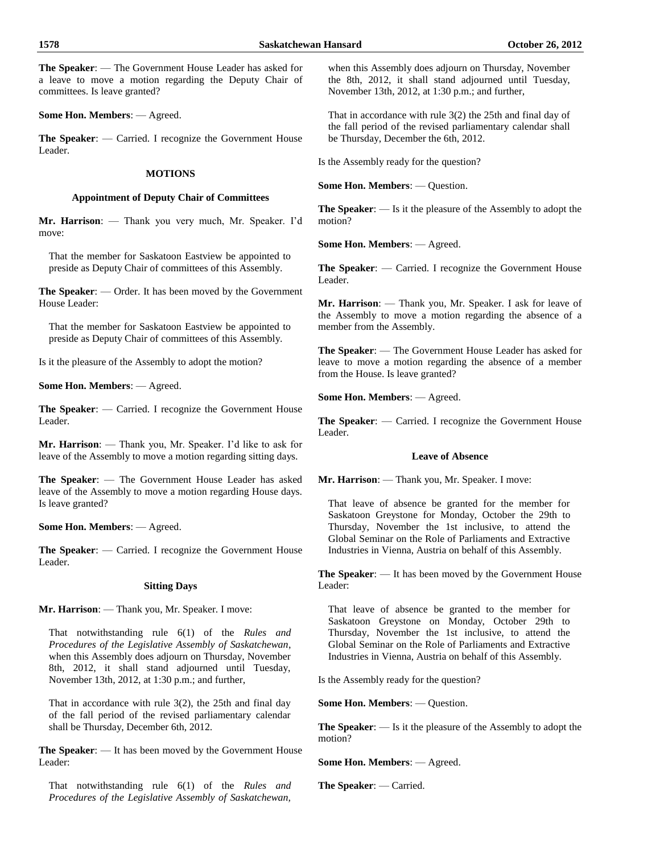**The Speaker**: — The Government House Leader has asked for a leave to move a motion regarding the Deputy Chair of committees. Is leave granted?

**Some Hon. Members**: — Agreed.

**The Speaker**: — Carried. I recognize the Government House Leader.

# **MOTIONS**

# **Appointment of Deputy Chair of Committees**

**Mr. Harrison**: — Thank you very much, Mr. Speaker. I'd move:

That the member for Saskatoon Eastview be appointed to preside as Deputy Chair of committees of this Assembly.

**The Speaker**: — Order. It has been moved by the Government House Leader:

That the member for Saskatoon Eastview be appointed to preside as Deputy Chair of committees of this Assembly.

Is it the pleasure of the Assembly to adopt the motion?

**Some Hon. Members**: — Agreed.

**The Speaker**: — Carried. I recognize the Government House Leader.

**Mr. Harrison**: — Thank you, Mr. Speaker. I'd like to ask for leave of the Assembly to move a motion regarding sitting days.

**The Speaker**: — The Government House Leader has asked leave of the Assembly to move a motion regarding House days. Is leave granted?

**Some Hon. Members**: — Agreed.

**The Speaker**: — Carried. I recognize the Government House Leader.

#### **Sitting Days**

**Mr. Harrison**: — Thank you, Mr. Speaker. I move:

That notwithstanding rule 6(1) of the *Rules and Procedures of the Legislative Assembly of Saskatchewan*, when this Assembly does adjourn on Thursday, November 8th, 2012, it shall stand adjourned until Tuesday, November 13th, 2012, at 1:30 p.m.; and further,

That in accordance with rule 3(2), the 25th and final day of the fall period of the revised parliamentary calendar shall be Thursday, December 6th, 2012.

**The Speaker**: — It has been moved by the Government House Leader:

That notwithstanding rule 6(1) of the *Rules and Procedures of the Legislative Assembly of Saskatchewan,*

when this Assembly does adjourn on Thursday, November the 8th, 2012, it shall stand adjourned until Tuesday, November 13th, 2012, at 1:30 p.m.; and further,

That in accordance with rule 3(2) the 25th and final day of the fall period of the revised parliamentary calendar shall be Thursday, December the 6th, 2012.

Is the Assembly ready for the question?

**Some Hon. Members**: — Question.

**The Speaker**: — Is it the pleasure of the Assembly to adopt the motion?

**Some Hon. Members**: — Agreed.

**The Speaker**: — Carried. I recognize the Government House Leader.

**Mr. Harrison**: — Thank you, Mr. Speaker. I ask for leave of the Assembly to move a motion regarding the absence of a member from the Assembly.

**The Speaker**: — The Government House Leader has asked for leave to move a motion regarding the absence of a member from the House. Is leave granted?

**Some Hon. Members**: — Agreed.

**The Speaker**: — Carried. I recognize the Government House Leader.

# **Leave of Absence**

**Mr. Harrison**: — Thank you, Mr. Speaker. I move:

That leave of absence be granted for the member for Saskatoon Greystone for Monday, October the 29th to Thursday, November the 1st inclusive, to attend the Global Seminar on the Role of Parliaments and Extractive Industries in Vienna, Austria on behalf of this Assembly.

**The Speaker**: — It has been moved by the Government House Leader:

That leave of absence be granted to the member for Saskatoon Greystone on Monday, October 29th to Thursday, November the 1st inclusive, to attend the Global Seminar on the Role of Parliaments and Extractive Industries in Vienna, Austria on behalf of this Assembly.

Is the Assembly ready for the question?

**Some Hon. Members**: — Question.

**The Speaker**: — Is it the pleasure of the Assembly to adopt the motion?

**Some Hon. Members**: — Agreed.

**The Speaker**: — Carried.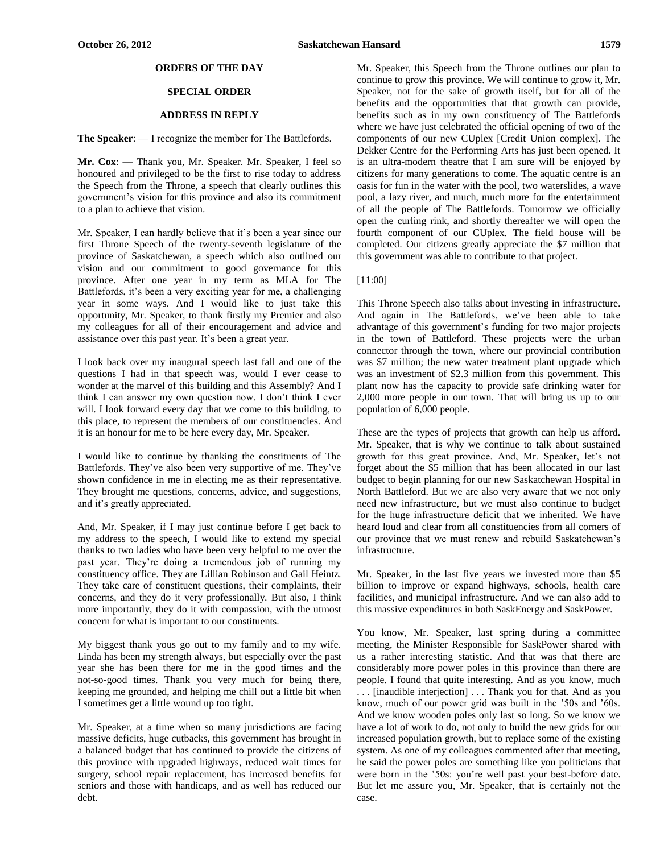# **ORDERS OF THE DAY**

# **SPECIAL ORDER**

# **ADDRESS IN REPLY**

**The Speaker**: — I recognize the member for The Battlefords.

**Mr. Cox**: — Thank you, Mr. Speaker. Mr. Speaker, I feel so honoured and privileged to be the first to rise today to address the Speech from the Throne, a speech that clearly outlines this government's vision for this province and also its commitment to a plan to achieve that vision.

Mr. Speaker, I can hardly believe that it's been a year since our first Throne Speech of the twenty-seventh legislature of the province of Saskatchewan, a speech which also outlined our vision and our commitment to good governance for this province. After one year in my term as MLA for The Battlefords, it's been a very exciting year for me, a challenging year in some ways. And I would like to just take this opportunity, Mr. Speaker, to thank firstly my Premier and also my colleagues for all of their encouragement and advice and assistance over this past year. It's been a great year.

I look back over my inaugural speech last fall and one of the questions I had in that speech was, would I ever cease to wonder at the marvel of this building and this Assembly? And I think I can answer my own question now. I don't think I ever will. I look forward every day that we come to this building, to this place, to represent the members of our constituencies. And it is an honour for me to be here every day, Mr. Speaker.

I would like to continue by thanking the constituents of The Battlefords. They've also been very supportive of me. They've shown confidence in me in electing me as their representative. They brought me questions, concerns, advice, and suggestions, and it's greatly appreciated.

And, Mr. Speaker, if I may just continue before I get back to my address to the speech, I would like to extend my special thanks to two ladies who have been very helpful to me over the past year. They're doing a tremendous job of running my constituency office. They are Lillian Robinson and Gail Heintz. They take care of constituent questions, their complaints, their concerns, and they do it very professionally. But also, I think more importantly, they do it with compassion, with the utmost concern for what is important to our constituents.

My biggest thank yous go out to my family and to my wife. Linda has been my strength always, but especially over the past year she has been there for me in the good times and the not-so-good times. Thank you very much for being there, keeping me grounded, and helping me chill out a little bit when I sometimes get a little wound up too tight.

Mr. Speaker, at a time when so many jurisdictions are facing massive deficits, huge cutbacks, this government has brought in a balanced budget that has continued to provide the citizens of this province with upgraded highways, reduced wait times for surgery, school repair replacement, has increased benefits for seniors and those with handicaps, and as well has reduced our debt.

Mr. Speaker, this Speech from the Throne outlines our plan to continue to grow this province. We will continue to grow it, Mr. Speaker, not for the sake of growth itself, but for all of the benefits and the opportunities that that growth can provide, benefits such as in my own constituency of The Battlefords where we have just celebrated the official opening of two of the components of our new CUplex [Credit Union complex]. The Dekker Centre for the Performing Arts has just been opened. It is an ultra-modern theatre that I am sure will be enjoyed by citizens for many generations to come. The aquatic centre is an oasis for fun in the water with the pool, two waterslides, a wave pool, a lazy river, and much, much more for the entertainment of all the people of The Battlefords. Tomorrow we officially open the curling rink, and shortly thereafter we will open the fourth component of our CUplex. The field house will be completed. Our citizens greatly appreciate the \$7 million that this government was able to contribute to that project.

#### [11:00]

This Throne Speech also talks about investing in infrastructure. And again in The Battlefords, we've been able to take advantage of this government's funding for two major projects in the town of Battleford. These projects were the urban connector through the town, where our provincial contribution was \$7 million; the new water treatment plant upgrade which was an investment of \$2.3 million from this government. This plant now has the capacity to provide safe drinking water for 2,000 more people in our town. That will bring us up to our population of 6,000 people.

These are the types of projects that growth can help us afford. Mr. Speaker, that is why we continue to talk about sustained growth for this great province. And, Mr. Speaker, let's not forget about the \$5 million that has been allocated in our last budget to begin planning for our new Saskatchewan Hospital in North Battleford. But we are also very aware that we not only need new infrastructure, but we must also continue to budget for the huge infrastructure deficit that we inherited. We have heard loud and clear from all constituencies from all corners of our province that we must renew and rebuild Saskatchewan's infrastructure.

Mr. Speaker, in the last five years we invested more than \$5 billion to improve or expand highways, schools, health care facilities, and municipal infrastructure. And we can also add to this massive expenditures in both SaskEnergy and SaskPower.

You know, Mr. Speaker, last spring during a committee meeting, the Minister Responsible for SaskPower shared with us a rather interesting statistic. And that was that there are considerably more power poles in this province than there are people. I found that quite interesting. And as you know, much . . . [inaudible interjection] . . . Thank you for that. And as you know, much of our power grid was built in the '50s and '60s. And we know wooden poles only last so long. So we know we have a lot of work to do, not only to build the new grids for our increased population growth, but to replace some of the existing system. As one of my colleagues commented after that meeting, he said the power poles are something like you politicians that were born in the '50s: you're well past your best-before date. But let me assure you, Mr. Speaker, that is certainly not the case.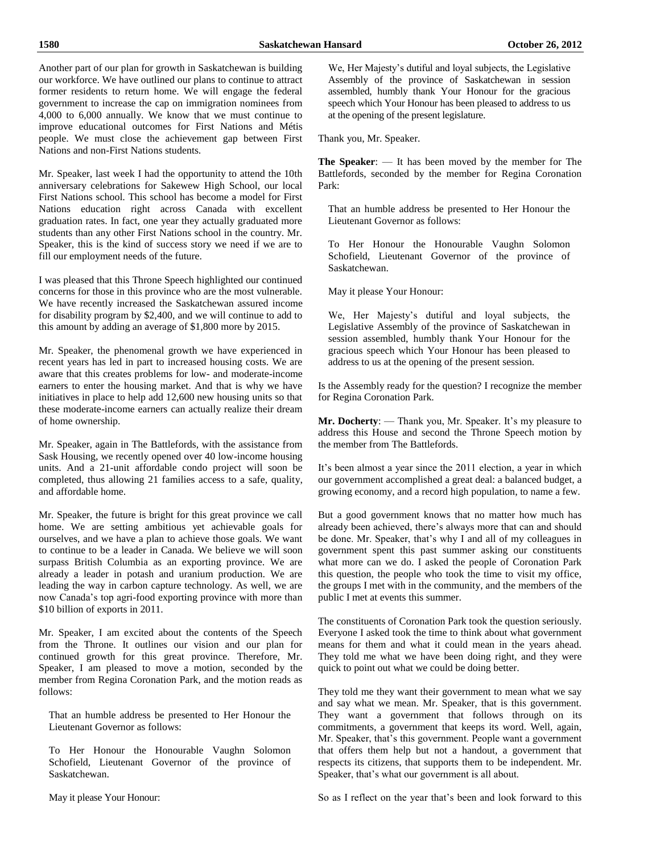Another part of our plan for growth in Saskatchewan is building our workforce. We have outlined our plans to continue to attract former residents to return home. We will engage the federal government to increase the cap on immigration nominees from 4,000 to 6,000 annually. We know that we must continue to improve educational outcomes for First Nations and Métis people. We must close the achievement gap between First Nations and non-First Nations students.

Mr. Speaker, last week I had the opportunity to attend the 10th anniversary celebrations for Sakewew High School, our local First Nations school. This school has become a model for First Nations education right across Canada with excellent graduation rates. In fact, one year they actually graduated more students than any other First Nations school in the country. Mr. Speaker, this is the kind of success story we need if we are to fill our employment needs of the future.

I was pleased that this Throne Speech highlighted our continued concerns for those in this province who are the most vulnerable. We have recently increased the Saskatchewan assured income for disability program by \$2,400, and we will continue to add to this amount by adding an average of \$1,800 more by 2015.

Mr. Speaker, the phenomenal growth we have experienced in recent years has led in part to increased housing costs. We are aware that this creates problems for low- and moderate-income earners to enter the housing market. And that is why we have initiatives in place to help add 12,600 new housing units so that these moderate-income earners can actually realize their dream of home ownership.

Mr. Speaker, again in The Battlefords, with the assistance from Sask Housing, we recently opened over 40 low-income housing units. And a 21-unit affordable condo project will soon be completed, thus allowing 21 families access to a safe, quality, and affordable home.

Mr. Speaker, the future is bright for this great province we call home. We are setting ambitious yet achievable goals for ourselves, and we have a plan to achieve those goals. We want to continue to be a leader in Canada. We believe we will soon surpass British Columbia as an exporting province. We are already a leader in potash and uranium production. We are leading the way in carbon capture technology. As well, we are now Canada's top agri-food exporting province with more than \$10 billion of exports in 2011.

Mr. Speaker, I am excited about the contents of the Speech from the Throne. It outlines our vision and our plan for continued growth for this great province. Therefore, Mr. Speaker, I am pleased to move a motion, seconded by the member from Regina Coronation Park, and the motion reads as follows:

That an humble address be presented to Her Honour the Lieutenant Governor as follows:

To Her Honour the Honourable Vaughn Solomon Schofield, Lieutenant Governor of the province of Saskatchewan.

We, Her Majesty's dutiful and loyal subjects, the Legislative Assembly of the province of Saskatchewan in session assembled, humbly thank Your Honour for the gracious speech which Your Honour has been pleased to address to us at the opening of the present legislature.

Thank you, Mr. Speaker.

**The Speaker**: — It has been moved by the member for The Battlefords, seconded by the member for Regina Coronation Park:

That an humble address be presented to Her Honour the Lieutenant Governor as follows:

To Her Honour the Honourable Vaughn Solomon Schofield, Lieutenant Governor of the province of Saskatchewan.

May it please Your Honour:

We, Her Majesty's dutiful and loyal subjects, the Legislative Assembly of the province of Saskatchewan in session assembled, humbly thank Your Honour for the gracious speech which Your Honour has been pleased to address to us at the opening of the present session.

Is the Assembly ready for the question? I recognize the member for Regina Coronation Park.

**Mr. Docherty**: — Thank you, Mr. Speaker. It's my pleasure to address this House and second the Throne Speech motion by the member from The Battlefords.

It's been almost a year since the 2011 election, a year in which our government accomplished a great deal: a balanced budget, a growing economy, and a record high population, to name a few.

But a good government knows that no matter how much has already been achieved, there's always more that can and should be done. Mr. Speaker, that's why I and all of my colleagues in government spent this past summer asking our constituents what more can we do. I asked the people of Coronation Park this question, the people who took the time to visit my office, the groups I met with in the community, and the members of the public I met at events this summer.

The constituents of Coronation Park took the question seriously. Everyone I asked took the time to think about what government means for them and what it could mean in the years ahead. They told me what we have been doing right, and they were quick to point out what we could be doing better.

They told me they want their government to mean what we say and say what we mean. Mr. Speaker, that is this government. They want a government that follows through on its commitments, a government that keeps its word. Well, again, Mr. Speaker, that's this government. People want a government that offers them help but not a handout, a government that respects its citizens, that supports them to be independent. Mr. Speaker, that's what our government is all about.

May it please Your Honour:

So as I reflect on the year that's been and look forward to this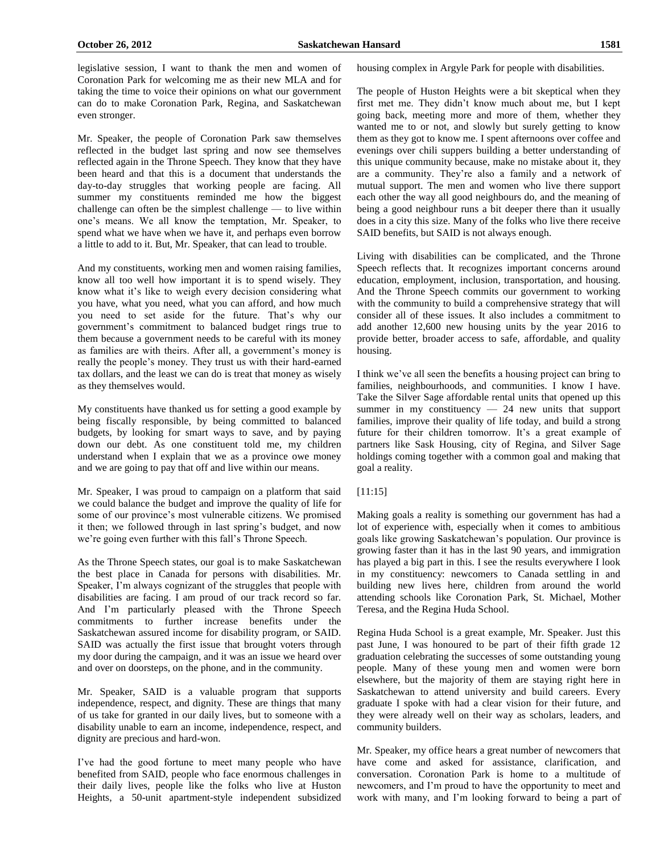legislative session, I want to thank the men and women of Coronation Park for welcoming me as their new MLA and for taking the time to voice their opinions on what our government can do to make Coronation Park, Regina, and Saskatchewan even stronger.

Mr. Speaker, the people of Coronation Park saw themselves reflected in the budget last spring and now see themselves reflected again in the Throne Speech. They know that they have been heard and that this is a document that understands the day-to-day struggles that working people are facing. All summer my constituents reminded me how the biggest challenge can often be the simplest challenge — to live within one's means. We all know the temptation, Mr. Speaker, to spend what we have when we have it, and perhaps even borrow a little to add to it. But, Mr. Speaker, that can lead to trouble.

And my constituents, working men and women raising families, know all too well how important it is to spend wisely. They know what it's like to weigh every decision considering what you have, what you need, what you can afford, and how much you need to set aside for the future. That's why our government's commitment to balanced budget rings true to them because a government needs to be careful with its money as families are with theirs. After all, a government's money is really the people's money. They trust us with their hard-earned tax dollars, and the least we can do is treat that money as wisely as they themselves would.

My constituents have thanked us for setting a good example by being fiscally responsible, by being committed to balanced budgets, by looking for smart ways to save, and by paying down our debt. As one constituent told me, my children understand when I explain that we as a province owe money and we are going to pay that off and live within our means.

Mr. Speaker, I was proud to campaign on a platform that said we could balance the budget and improve the quality of life for some of our province's most vulnerable citizens. We promised it then; we followed through in last spring's budget, and now we're going even further with this fall's Throne Speech.

As the Throne Speech states, our goal is to make Saskatchewan the best place in Canada for persons with disabilities. Mr. Speaker, I'm always cognizant of the struggles that people with disabilities are facing. I am proud of our track record so far. And I'm particularly pleased with the Throne Speech commitments to further increase benefits under the Saskatchewan assured income for disability program, or SAID. SAID was actually the first issue that brought voters through my door during the campaign, and it was an issue we heard over and over on doorsteps, on the phone, and in the community.

Mr. Speaker, SAID is a valuable program that supports independence, respect, and dignity. These are things that many of us take for granted in our daily lives, but to someone with a disability unable to earn an income, independence, respect, and dignity are precious and hard-won.

I've had the good fortune to meet many people who have benefited from SAID, people who face enormous challenges in their daily lives, people like the folks who live at Huston Heights, a 50-unit apartment-style independent subsidized housing complex in Argyle Park for people with disabilities.

The people of Huston Heights were a bit skeptical when they first met me. They didn't know much about me, but I kept going back, meeting more and more of them, whether they wanted me to or not, and slowly but surely getting to know them as they got to know me. I spent afternoons over coffee and evenings over chili suppers building a better understanding of this unique community because, make no mistake about it, they are a community. They're also a family and a network of mutual support. The men and women who live there support each other the way all good neighbours do, and the meaning of being a good neighbour runs a bit deeper there than it usually does in a city this size. Many of the folks who live there receive SAID benefits, but SAID is not always enough.

Living with disabilities can be complicated, and the Throne Speech reflects that. It recognizes important concerns around education, employment, inclusion, transportation, and housing. And the Throne Speech commits our government to working with the community to build a comprehensive strategy that will consider all of these issues. It also includes a commitment to add another 12,600 new housing units by the year 2016 to provide better, broader access to safe, affordable, and quality housing.

I think we've all seen the benefits a housing project can bring to families, neighbourhoods, and communities. I know I have. Take the Silver Sage affordable rental units that opened up this summer in my constituency  $-24$  new units that support families, improve their quality of life today, and build a strong future for their children tomorrow. It's a great example of partners like Sask Housing, city of Regina, and Silver Sage holdings coming together with a common goal and making that goal a reality.

# [11:15]

Making goals a reality is something our government has had a lot of experience with, especially when it comes to ambitious goals like growing Saskatchewan's population. Our province is growing faster than it has in the last 90 years, and immigration has played a big part in this. I see the results everywhere I look in my constituency: newcomers to Canada settling in and building new lives here, children from around the world attending schools like Coronation Park, St. Michael, Mother Teresa, and the Regina Huda School.

Regina Huda School is a great example, Mr. Speaker. Just this past June, I was honoured to be part of their fifth grade 12 graduation celebrating the successes of some outstanding young people. Many of these young men and women were born elsewhere, but the majority of them are staying right here in Saskatchewan to attend university and build careers. Every graduate I spoke with had a clear vision for their future, and they were already well on their way as scholars, leaders, and community builders.

Mr. Speaker, my office hears a great number of newcomers that have come and asked for assistance, clarification, and conversation. Coronation Park is home to a multitude of newcomers, and I'm proud to have the opportunity to meet and work with many, and I'm looking forward to being a part of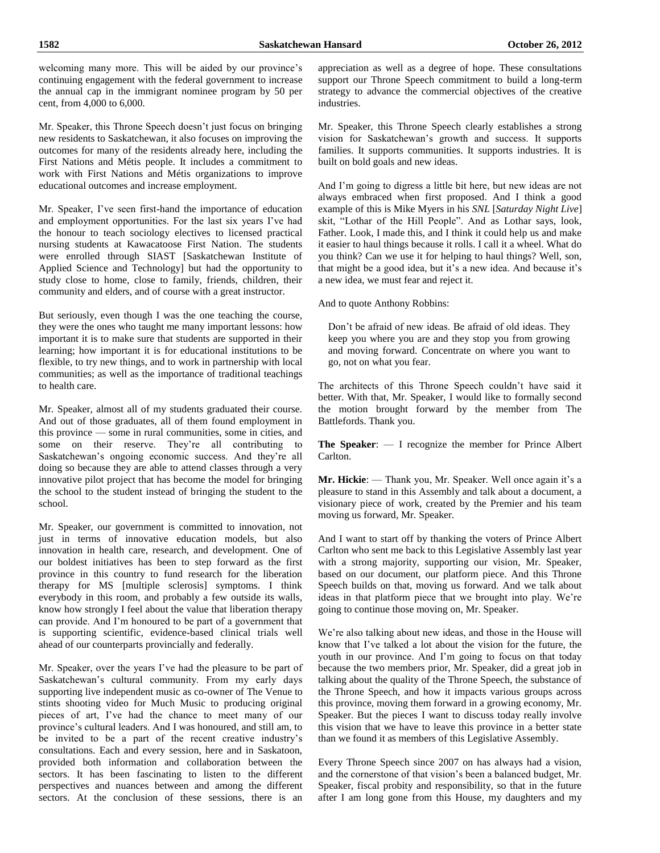welcoming many more. This will be aided by our province's continuing engagement with the federal government to increase the annual cap in the immigrant nominee program by 50 per cent, from 4,000 to 6,000.

Mr. Speaker, this Throne Speech doesn't just focus on bringing new residents to Saskatchewan, it also focuses on improving the outcomes for many of the residents already here, including the First Nations and Métis people. It includes a commitment to work with First Nations and Métis organizations to improve educational outcomes and increase employment.

Mr. Speaker, I've seen first-hand the importance of education and employment opportunities. For the last six years I've had the honour to teach sociology electives to licensed practical nursing students at Kawacatoose First Nation. The students were enrolled through SIAST [Saskatchewan Institute of Applied Science and Technology] but had the opportunity to study close to home, close to family, friends, children, their community and elders, and of course with a great instructor.

But seriously, even though I was the one teaching the course, they were the ones who taught me many important lessons: how important it is to make sure that students are supported in their learning; how important it is for educational institutions to be flexible, to try new things, and to work in partnership with local communities; as well as the importance of traditional teachings to health care.

Mr. Speaker, almost all of my students graduated their course. And out of those graduates, all of them found employment in this province — some in rural communities, some in cities, and some on their reserve. They're all contributing to Saskatchewan's ongoing economic success. And they're all doing so because they are able to attend classes through a very innovative pilot project that has become the model for bringing the school to the student instead of bringing the student to the school.

Mr. Speaker, our government is committed to innovation, not just in terms of innovative education models, but also innovation in health care, research, and development. One of our boldest initiatives has been to step forward as the first province in this country to fund research for the liberation therapy for MS [multiple sclerosis] symptoms. I think everybody in this room, and probably a few outside its walls, know how strongly I feel about the value that liberation therapy can provide. And I'm honoured to be part of a government that is supporting scientific, evidence-based clinical trials well ahead of our counterparts provincially and federally.

Mr. Speaker, over the years I've had the pleasure to be part of Saskatchewan's cultural community. From my early days supporting live independent music as co-owner of The Venue to stints shooting video for Much Music to producing original pieces of art, I've had the chance to meet many of our province's cultural leaders. And I was honoured, and still am, to be invited to be a part of the recent creative industry's consultations. Each and every session, here and in Saskatoon, provided both information and collaboration between the sectors. It has been fascinating to listen to the different perspectives and nuances between and among the different sectors. At the conclusion of these sessions, there is an appreciation as well as a degree of hope. These consultations support our Throne Speech commitment to build a long-term strategy to advance the commercial objectives of the creative industries.

Mr. Speaker, this Throne Speech clearly establishes a strong vision for Saskatchewan's growth and success. It supports families. It supports communities. It supports industries. It is built on bold goals and new ideas.

And I'm going to digress a little bit here, but new ideas are not always embraced when first proposed. And I think a good example of this is Mike Myers in his *SNL* [*Saturday Night Live*] skit, "Lothar of the Hill People". And as Lothar says, look, Father. Look, I made this, and I think it could help us and make it easier to haul things because it rolls. I call it a wheel. What do you think? Can we use it for helping to haul things? Well, son, that might be a good idea, but it's a new idea. And because it's a new idea, we must fear and reject it.

And to quote Anthony Robbins:

Don't be afraid of new ideas. Be afraid of old ideas. They keep you where you are and they stop you from growing and moving forward. Concentrate on where you want to go, not on what you fear.

The architects of this Throne Speech couldn't have said it better. With that, Mr. Speaker, I would like to formally second the motion brought forward by the member from The Battlefords. Thank you.

**The Speaker**: — I recognize the member for Prince Albert Carlton.

**Mr. Hickie**: — Thank you, Mr. Speaker. Well once again it's a pleasure to stand in this Assembly and talk about a document, a visionary piece of work, created by the Premier and his team moving us forward, Mr. Speaker.

And I want to start off by thanking the voters of Prince Albert Carlton who sent me back to this Legislative Assembly last year with a strong majority, supporting our vision, Mr. Speaker, based on our document, our platform piece. And this Throne Speech builds on that, moving us forward. And we talk about ideas in that platform piece that we brought into play. We're going to continue those moving on, Mr. Speaker.

We're also talking about new ideas, and those in the House will know that I've talked a lot about the vision for the future, the youth in our province. And I'm going to focus on that today because the two members prior, Mr. Speaker, did a great job in talking about the quality of the Throne Speech, the substance of the Throne Speech, and how it impacts various groups across this province, moving them forward in a growing economy, Mr. Speaker. But the pieces I want to discuss today really involve this vision that we have to leave this province in a better state than we found it as members of this Legislative Assembly.

Every Throne Speech since 2007 on has always had a vision, and the cornerstone of that vision's been a balanced budget, Mr. Speaker, fiscal probity and responsibility, so that in the future after I am long gone from this House, my daughters and my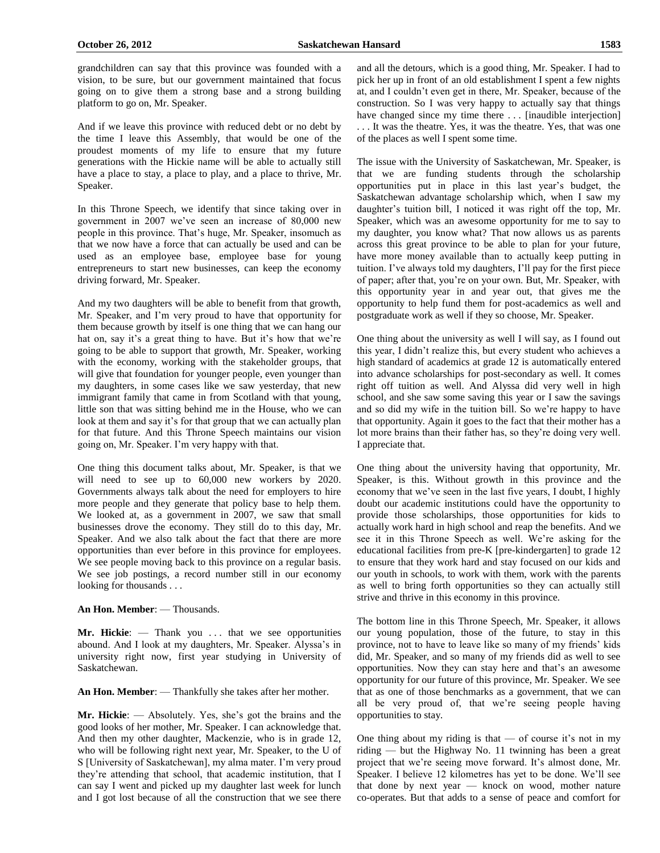grandchildren can say that this province was founded with a vision, to be sure, but our government maintained that focus going on to give them a strong base and a strong building platform to go on, Mr. Speaker.

And if we leave this province with reduced debt or no debt by the time I leave this Assembly, that would be one of the proudest moments of my life to ensure that my future generations with the Hickie name will be able to actually still have a place to stay, a place to play, and a place to thrive, Mr. Speaker.

In this Throne Speech, we identify that since taking over in government in 2007 we've seen an increase of 80,000 new people in this province. That's huge, Mr. Speaker, insomuch as that we now have a force that can actually be used and can be used as an employee base, employee base for young entrepreneurs to start new businesses, can keep the economy driving forward, Mr. Speaker.

And my two daughters will be able to benefit from that growth, Mr. Speaker, and I'm very proud to have that opportunity for them because growth by itself is one thing that we can hang our hat on, say it's a great thing to have. But it's how that we're going to be able to support that growth, Mr. Speaker, working with the economy, working with the stakeholder groups, that will give that foundation for younger people, even younger than my daughters, in some cases like we saw yesterday, that new immigrant family that came in from Scotland with that young, little son that was sitting behind me in the House, who we can look at them and say it's for that group that we can actually plan for that future. And this Throne Speech maintains our vision going on, Mr. Speaker. I'm very happy with that.

One thing this document talks about, Mr. Speaker, is that we will need to see up to 60,000 new workers by 2020. Governments always talk about the need for employers to hire more people and they generate that policy base to help them. We looked at, as a government in 2007, we saw that small businesses drove the economy. They still do to this day, Mr. Speaker. And we also talk about the fact that there are more opportunities than ever before in this province for employees. We see people moving back to this province on a regular basis. We see job postings, a record number still in our economy looking for thousands . . .

## **An Hon. Member**: — Thousands.

Mr. Hickie: - Thank you ... that we see opportunities abound. And I look at my daughters, Mr. Speaker. Alyssa's in university right now, first year studying in University of Saskatchewan.

**An Hon. Member**: — Thankfully she takes after her mother.

**Mr. Hickie**: — Absolutely. Yes, she's got the brains and the good looks of her mother, Mr. Speaker. I can acknowledge that. And then my other daughter, Mackenzie, who is in grade 12, who will be following right next year, Mr. Speaker, to the U of S [University of Saskatchewan], my alma mater. I'm very proud they're attending that school, that academic institution, that I can say I went and picked up my daughter last week for lunch and I got lost because of all the construction that we see there and all the detours, which is a good thing, Mr. Speaker. I had to pick her up in front of an old establishment I spent a few nights at, and I couldn't even get in there, Mr. Speaker, because of the construction. So I was very happy to actually say that things have changed since my time there ... [inaudible interjection] . . . It was the theatre. Yes, it was the theatre. Yes, that was one of the places as well I spent some time.

The issue with the University of Saskatchewan, Mr. Speaker, is that we are funding students through the scholarship opportunities put in place in this last year's budget, the Saskatchewan advantage scholarship which, when I saw my daughter's tuition bill, I noticed it was right off the top, Mr. Speaker, which was an awesome opportunity for me to say to my daughter, you know what? That now allows us as parents across this great province to be able to plan for your future, have more money available than to actually keep putting in tuition. I've always told my daughters, I'll pay for the first piece of paper; after that, you're on your own. But, Mr. Speaker, with this opportunity year in and year out, that gives me the opportunity to help fund them for post-academics as well and postgraduate work as well if they so choose, Mr. Speaker.

One thing about the university as well I will say, as I found out this year, I didn't realize this, but every student who achieves a high standard of academics at grade 12 is automatically entered into advance scholarships for post-secondary as well. It comes right off tuition as well. And Alyssa did very well in high school, and she saw some saving this year or I saw the savings and so did my wife in the tuition bill. So we're happy to have that opportunity. Again it goes to the fact that their mother has a lot more brains than their father has, so they're doing very well. I appreciate that.

One thing about the university having that opportunity, Mr. Speaker, is this. Without growth in this province and the economy that we've seen in the last five years, I doubt, I highly doubt our academic institutions could have the opportunity to provide those scholarships, those opportunities for kids to actually work hard in high school and reap the benefits. And we see it in this Throne Speech as well. We're asking for the educational facilities from pre-K [pre-kindergarten] to grade 12 to ensure that they work hard and stay focused on our kids and our youth in schools, to work with them, work with the parents as well to bring forth opportunities so they can actually still strive and thrive in this economy in this province.

The bottom line in this Throne Speech, Mr. Speaker, it allows our young population, those of the future, to stay in this province, not to have to leave like so many of my friends' kids did, Mr. Speaker, and so many of my friends did as well to see opportunities. Now they can stay here and that's an awesome opportunity for our future of this province, Mr. Speaker. We see that as one of those benchmarks as a government, that we can all be very proud of, that we're seeing people having opportunities to stay.

One thing about my riding is that  $-$  of course it's not in my riding — but the Highway No. 11 twinning has been a great project that we're seeing move forward. It's almost done, Mr. Speaker. I believe 12 kilometres has yet to be done. We'll see that done by next year — knock on wood, mother nature co-operates. But that adds to a sense of peace and comfort for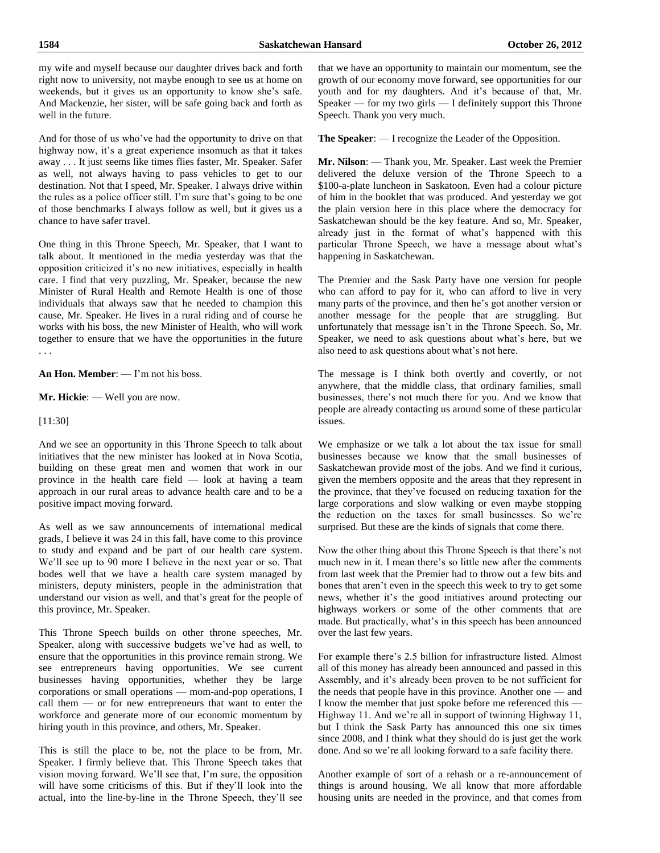# my wife and myself because our daughter drives back and forth right now to university, not maybe enough to see us at home on weekends, but it gives us an opportunity to know she's safe. And Mackenzie, her sister, will be safe going back and forth as well in the future.

And for those of us who've had the opportunity to drive on that highway now, it's a great experience insomuch as that it takes away . . . It just seems like times flies faster, Mr. Speaker. Safer as well, not always having to pass vehicles to get to our destination. Not that I speed, Mr. Speaker. I always drive within the rules as a police officer still. I'm sure that's going to be one of those benchmarks I always follow as well, but it gives us a chance to have safer travel.

One thing in this Throne Speech, Mr. Speaker, that I want to talk about. It mentioned in the media yesterday was that the opposition criticized it's no new initiatives, especially in health care. I find that very puzzling, Mr. Speaker, because the new Minister of Rural Health and Remote Health is one of those individuals that always saw that he needed to champion this cause, Mr. Speaker. He lives in a rural riding and of course he works with his boss, the new Minister of Health, who will work together to ensure that we have the opportunities in the future . . .

**An Hon. Member**: — I'm not his boss.

**Mr. Hickie**: — Well you are now.

[11:30]

And we see an opportunity in this Throne Speech to talk about initiatives that the new minister has looked at in Nova Scotia, building on these great men and women that work in our province in the health care field — look at having a team approach in our rural areas to advance health care and to be a positive impact moving forward.

As well as we saw announcements of international medical grads, I believe it was 24 in this fall, have come to this province to study and expand and be part of our health care system. We'll see up to 90 more I believe in the next year or so. That bodes well that we have a health care system managed by ministers, deputy ministers, people in the administration that understand our vision as well, and that's great for the people of this province, Mr. Speaker.

This Throne Speech builds on other throne speeches, Mr. Speaker, along with successive budgets we've had as well, to ensure that the opportunities in this province remain strong. We see entrepreneurs having opportunities. We see current businesses having opportunities, whether they be large corporations or small operations — mom-and-pop operations, I call them — or for new entrepreneurs that want to enter the workforce and generate more of our economic momentum by hiring youth in this province, and others, Mr. Speaker.

This is still the place to be, not the place to be from, Mr. Speaker. I firmly believe that. This Throne Speech takes that vision moving forward. We'll see that, I'm sure, the opposition will have some criticisms of this. But if they'll look into the actual, into the line-by-line in the Throne Speech, they'll see that we have an opportunity to maintain our momentum, see the growth of our economy move forward, see opportunities for our youth and for my daughters. And it's because of that, Mr. Speaker — for my two girls — I definitely support this Throne Speech. Thank you very much.

**The Speaker**: — I recognize the Leader of the Opposition.

**Mr. Nilson**: — Thank you, Mr. Speaker. Last week the Premier delivered the deluxe version of the Throne Speech to a \$100-a-plate luncheon in Saskatoon. Even had a colour picture of him in the booklet that was produced. And yesterday we got the plain version here in this place where the democracy for Saskatchewan should be the key feature. And so, Mr. Speaker, already just in the format of what's happened with this particular Throne Speech, we have a message about what's happening in Saskatchewan.

The Premier and the Sask Party have one version for people who can afford to pay for it, who can afford to live in very many parts of the province, and then he's got another version or another message for the people that are struggling. But unfortunately that message isn't in the Throne Speech. So, Mr. Speaker, we need to ask questions about what's here, but we also need to ask questions about what's not here.

The message is I think both overtly and covertly, or not anywhere, that the middle class, that ordinary families, small businesses, there's not much there for you. And we know that people are already contacting us around some of these particular issues.

We emphasize or we talk a lot about the tax issue for small businesses because we know that the small businesses of Saskatchewan provide most of the jobs. And we find it curious, given the members opposite and the areas that they represent in the province, that they've focused on reducing taxation for the large corporations and slow walking or even maybe stopping the reduction on the taxes for small businesses. So we're surprised. But these are the kinds of signals that come there.

Now the other thing about this Throne Speech is that there's not much new in it. I mean there's so little new after the comments from last week that the Premier had to throw out a few bits and bones that aren't even in the speech this week to try to get some news, whether it's the good initiatives around protecting our highways workers or some of the other comments that are made. But practically, what's in this speech has been announced over the last few years.

For example there's 2.5 billion for infrastructure listed. Almost all of this money has already been announced and passed in this Assembly, and it's already been proven to be not sufficient for the needs that people have in this province. Another one — and I know the member that just spoke before me referenced this -Highway 11. And we're all in support of twinning Highway 11, but I think the Sask Party has announced this one six times since 2008, and I think what they should do is just get the work done. And so we're all looking forward to a safe facility there.

Another example of sort of a rehash or a re-announcement of things is around housing. We all know that more affordable housing units are needed in the province, and that comes from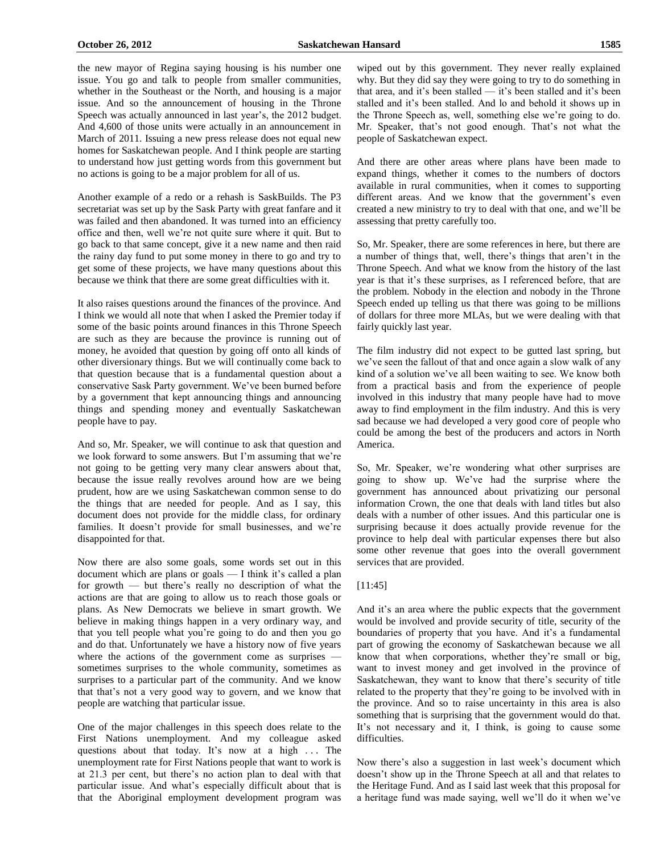the new mayor of Regina saying housing is his number one issue. You go and talk to people from smaller communities, whether in the Southeast or the North, and housing is a major issue. And so the announcement of housing in the Throne Speech was actually announced in last year's, the 2012 budget. And 4,600 of those units were actually in an announcement in March of 2011. Issuing a new press release does not equal new homes for Saskatchewan people. And I think people are starting to understand how just getting words from this government but no actions is going to be a major problem for all of us.

Another example of a redo or a rehash is SaskBuilds. The P3 secretariat was set up by the Sask Party with great fanfare and it was failed and then abandoned. It was turned into an efficiency office and then, well we're not quite sure where it quit. But to go back to that same concept, give it a new name and then raid the rainy day fund to put some money in there to go and try to get some of these projects, we have many questions about this because we think that there are some great difficulties with it.

It also raises questions around the finances of the province. And I think we would all note that when I asked the Premier today if some of the basic points around finances in this Throne Speech are such as they are because the province is running out of money, he avoided that question by going off onto all kinds of other diversionary things. But we will continually come back to that question because that is a fundamental question about a conservative Sask Party government. We've been burned before by a government that kept announcing things and announcing things and spending money and eventually Saskatchewan people have to pay.

And so, Mr. Speaker, we will continue to ask that question and we look forward to some answers. But I'm assuming that we're not going to be getting very many clear answers about that, because the issue really revolves around how are we being prudent, how are we using Saskatchewan common sense to do the things that are needed for people. And as I say, this document does not provide for the middle class, for ordinary families. It doesn't provide for small businesses, and we're disappointed for that.

Now there are also some goals, some words set out in this document which are plans or goals — I think it's called a plan for growth — but there's really no description of what the actions are that are going to allow us to reach those goals or plans. As New Democrats we believe in smart growth. We believe in making things happen in a very ordinary way, and that you tell people what you're going to do and then you go and do that. Unfortunately we have a history now of five years where the actions of the government come as surprises sometimes surprises to the whole community, sometimes as surprises to a particular part of the community. And we know that that's not a very good way to govern, and we know that people are watching that particular issue.

One of the major challenges in this speech does relate to the First Nations unemployment. And my colleague asked questions about that today. It's now at a high  $\ldots$  The unemployment rate for First Nations people that want to work is at 21.3 per cent, but there's no action plan to deal with that particular issue. And what's especially difficult about that is that the Aboriginal employment development program was wiped out by this government. They never really explained why. But they did say they were going to try to do something in that area, and it's been stalled — it's been stalled and it's been stalled and it's been stalled. And lo and behold it shows up in the Throne Speech as, well, something else we're going to do. Mr. Speaker, that's not good enough. That's not what the people of Saskatchewan expect.

And there are other areas where plans have been made to expand things, whether it comes to the numbers of doctors available in rural communities, when it comes to supporting different areas. And we know that the government's even created a new ministry to try to deal with that one, and we'll be assessing that pretty carefully too.

So, Mr. Speaker, there are some references in here, but there are a number of things that, well, there's things that aren't in the Throne Speech. And what we know from the history of the last year is that it's these surprises, as I referenced before, that are the problem. Nobody in the election and nobody in the Throne Speech ended up telling us that there was going to be millions of dollars for three more MLAs, but we were dealing with that fairly quickly last year.

The film industry did not expect to be gutted last spring, but we've seen the fallout of that and once again a slow walk of any kind of a solution we've all been waiting to see. We know both from a practical basis and from the experience of people involved in this industry that many people have had to move away to find employment in the film industry. And this is very sad because we had developed a very good core of people who could be among the best of the producers and actors in North America.

So, Mr. Speaker, we're wondering what other surprises are going to show up. We've had the surprise where the government has announced about privatizing our personal information Crown, the one that deals with land titles but also deals with a number of other issues. And this particular one is surprising because it does actually provide revenue for the province to help deal with particular expenses there but also some other revenue that goes into the overall government services that are provided.

# [11:45]

And it's an area where the public expects that the government would be involved and provide security of title, security of the boundaries of property that you have. And it's a fundamental part of growing the economy of Saskatchewan because we all know that when corporations, whether they're small or big, want to invest money and get involved in the province of Saskatchewan, they want to know that there's security of title related to the property that they're going to be involved with in the province. And so to raise uncertainty in this area is also something that is surprising that the government would do that. It's not necessary and it, I think, is going to cause some difficulties.

Now there's also a suggestion in last week's document which doesn't show up in the Throne Speech at all and that relates to the Heritage Fund. And as I said last week that this proposal for a heritage fund was made saying, well we'll do it when we've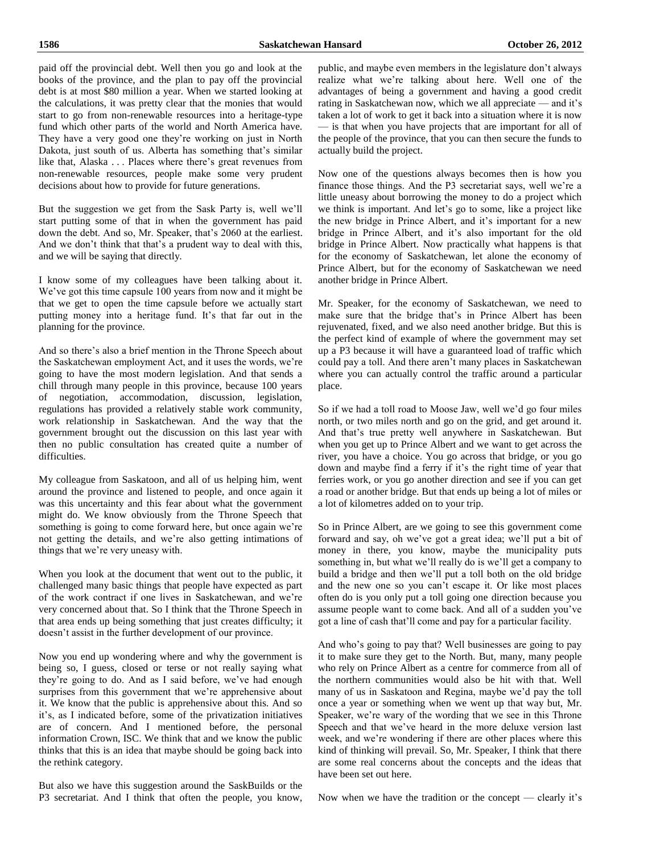paid off the provincial debt. Well then you go and look at the books of the province, and the plan to pay off the provincial debt is at most \$80 million a year. When we started looking at the calculations, it was pretty clear that the monies that would start to go from non-renewable resources into a heritage-type fund which other parts of the world and North America have. They have a very good one they're working on just in North Dakota, just south of us. Alberta has something that's similar like that, Alaska . . . Places where there's great revenues from non-renewable resources, people make some very prudent decisions about how to provide for future generations.

But the suggestion we get from the Sask Party is, well we'll start putting some of that in when the government has paid down the debt. And so, Mr. Speaker, that's 2060 at the earliest. And we don't think that that's a prudent way to deal with this, and we will be saying that directly.

I know some of my colleagues have been talking about it. We've got this time capsule 100 years from now and it might be that we get to open the time capsule before we actually start putting money into a heritage fund. It's that far out in the planning for the province.

And so there's also a brief mention in the Throne Speech about the Saskatchewan employment Act, and it uses the words, we're going to have the most modern legislation. And that sends a chill through many people in this province, because 100 years of negotiation, accommodation, discussion, legislation, regulations has provided a relatively stable work community, work relationship in Saskatchewan. And the way that the government brought out the discussion on this last year with then no public consultation has created quite a number of difficulties.

My colleague from Saskatoon, and all of us helping him, went around the province and listened to people, and once again it was this uncertainty and this fear about what the government might do. We know obviously from the Throne Speech that something is going to come forward here, but once again we're not getting the details, and we're also getting intimations of things that we're very uneasy with.

When you look at the document that went out to the public, it challenged many basic things that people have expected as part of the work contract if one lives in Saskatchewan, and we're very concerned about that. So I think that the Throne Speech in that area ends up being something that just creates difficulty; it doesn't assist in the further development of our province.

Now you end up wondering where and why the government is being so, I guess, closed or terse or not really saying what they're going to do. And as I said before, we've had enough surprises from this government that we're apprehensive about it. We know that the public is apprehensive about this. And so it's, as I indicated before, some of the privatization initiatives are of concern. And I mentioned before, the personal information Crown, ISC. We think that and we know the public thinks that this is an idea that maybe should be going back into the rethink category.

But also we have this suggestion around the SaskBuilds or the P3 secretariat. And I think that often the people, you know,

public, and maybe even members in the legislature don't always realize what we're talking about here. Well one of the advantages of being a government and having a good credit rating in Saskatchewan now, which we all appreciate — and it's taken a lot of work to get it back into a situation where it is now — is that when you have projects that are important for all of the people of the province, that you can then secure the funds to actually build the project.

Now one of the questions always becomes then is how you finance those things. And the P3 secretariat says, well we're a little uneasy about borrowing the money to do a project which we think is important. And let's go to some, like a project like the new bridge in Prince Albert, and it's important for a new bridge in Prince Albert, and it's also important for the old bridge in Prince Albert. Now practically what happens is that for the economy of Saskatchewan, let alone the economy of Prince Albert, but for the economy of Saskatchewan we need another bridge in Prince Albert.

Mr. Speaker, for the economy of Saskatchewan, we need to make sure that the bridge that's in Prince Albert has been rejuvenated, fixed, and we also need another bridge. But this is the perfect kind of example of where the government may set up a P3 because it will have a guaranteed load of traffic which could pay a toll. And there aren't many places in Saskatchewan where you can actually control the traffic around a particular place.

So if we had a toll road to Moose Jaw, well we'd go four miles north, or two miles north and go on the grid, and get around it. And that's true pretty well anywhere in Saskatchewan. But when you get up to Prince Albert and we want to get across the river, you have a choice. You go across that bridge, or you go down and maybe find a ferry if it's the right time of year that ferries work, or you go another direction and see if you can get a road or another bridge. But that ends up being a lot of miles or a lot of kilometres added on to your trip.

So in Prince Albert, are we going to see this government come forward and say, oh we've got a great idea; we'll put a bit of money in there, you know, maybe the municipality puts something in, but what we'll really do is we'll get a company to build a bridge and then we'll put a toll both on the old bridge and the new one so you can't escape it. Or like most places often do is you only put a toll going one direction because you assume people want to come back. And all of a sudden you've got a line of cash that'll come and pay for a particular facility.

And who's going to pay that? Well businesses are going to pay it to make sure they get to the North. But, many, many people who rely on Prince Albert as a centre for commerce from all of the northern communities would also be hit with that. Well many of us in Saskatoon and Regina, maybe we'd pay the toll once a year or something when we went up that way but, Mr. Speaker, we're wary of the wording that we see in this Throne Speech and that we've heard in the more deluxe version last week, and we're wondering if there are other places where this kind of thinking will prevail. So, Mr. Speaker, I think that there are some real concerns about the concepts and the ideas that have been set out here.

Now when we have the tradition or the concept — clearly it's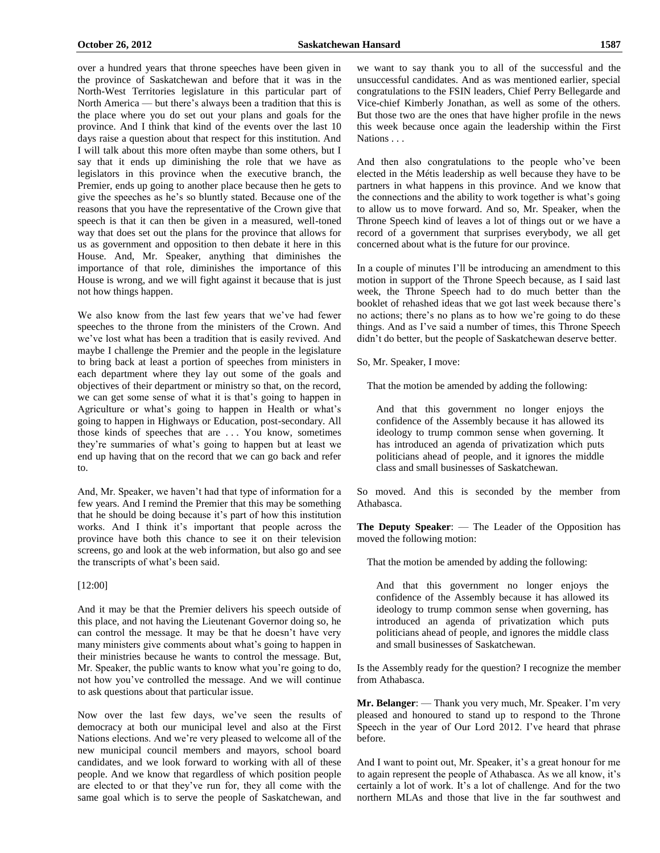over a hundred years that throne speeches have been given in the province of Saskatchewan and before that it was in the North-West Territories legislature in this particular part of North America — but there's always been a tradition that this is the place where you do set out your plans and goals for the province. And I think that kind of the events over the last 10 days raise a question about that respect for this institution. And I will talk about this more often maybe than some others, but I say that it ends up diminishing the role that we have as legislators in this province when the executive branch, the Premier, ends up going to another place because then he gets to give the speeches as he's so bluntly stated. Because one of the reasons that you have the representative of the Crown give that speech is that it can then be given in a measured, well-toned way that does set out the plans for the province that allows for us as government and opposition to then debate it here in this House. And, Mr. Speaker, anything that diminishes the importance of that role, diminishes the importance of this House is wrong, and we will fight against it because that is just not how things happen.

We also know from the last few years that we've had fewer speeches to the throne from the ministers of the Crown. And we've lost what has been a tradition that is easily revived. And maybe I challenge the Premier and the people in the legislature to bring back at least a portion of speeches from ministers in each department where they lay out some of the goals and objectives of their department or ministry so that, on the record, we can get some sense of what it is that's going to happen in Agriculture or what's going to happen in Health or what's going to happen in Highways or Education, post-secondary. All those kinds of speeches that are . . . You know, sometimes they're summaries of what's going to happen but at least we end up having that on the record that we can go back and refer to.

And, Mr. Speaker, we haven't had that type of information for a few years. And I remind the Premier that this may be something that he should be doing because it's part of how this institution works. And I think it's important that people across the province have both this chance to see it on their television screens, go and look at the web information, but also go and see the transcripts of what's been said.

# [12:00]

And it may be that the Premier delivers his speech outside of this place, and not having the Lieutenant Governor doing so, he can control the message. It may be that he doesn't have very many ministers give comments about what's going to happen in their ministries because he wants to control the message. But, Mr. Speaker, the public wants to know what you're going to do, not how you've controlled the message. And we will continue to ask questions about that particular issue.

Now over the last few days, we've seen the results of democracy at both our municipal level and also at the First Nations elections. And we're very pleased to welcome all of the new municipal council members and mayors, school board candidates, and we look forward to working with all of these people. And we know that regardless of which position people are elected to or that they've run for, they all come with the same goal which is to serve the people of Saskatchewan, and we want to say thank you to all of the successful and the unsuccessful candidates. And as was mentioned earlier, special congratulations to the FSIN leaders, Chief Perry Bellegarde and Vice-chief Kimberly Jonathan, as well as some of the others. But those two are the ones that have higher profile in the news this week because once again the leadership within the First Nations . . .

And then also congratulations to the people who've been elected in the Métis leadership as well because they have to be partners in what happens in this province. And we know that the connections and the ability to work together is what's going to allow us to move forward. And so, Mr. Speaker, when the Throne Speech kind of leaves a lot of things out or we have a record of a government that surprises everybody, we all get concerned about what is the future for our province.

In a couple of minutes I'll be introducing an amendment to this motion in support of the Throne Speech because, as I said last week, the Throne Speech had to do much better than the booklet of rehashed ideas that we got last week because there's no actions; there's no plans as to how we're going to do these things. And as I've said a number of times, this Throne Speech didn't do better, but the people of Saskatchewan deserve better.

So, Mr. Speaker, I move:

That the motion be amended by adding the following:

And that this government no longer enjoys the confidence of the Assembly because it has allowed its ideology to trump common sense when governing. It has introduced an agenda of privatization which puts politicians ahead of people, and it ignores the middle class and small businesses of Saskatchewan.

So moved. And this is seconded by the member from Athabasca.

**The Deputy Speaker**: — The Leader of the Opposition has moved the following motion:

That the motion be amended by adding the following:

And that this government no longer enjoys the confidence of the Assembly because it has allowed its ideology to trump common sense when governing, has introduced an agenda of privatization which puts politicians ahead of people, and ignores the middle class and small businesses of Saskatchewan.

Is the Assembly ready for the question? I recognize the member from Athabasca.

**Mr. Belanger**: — Thank you very much, Mr. Speaker. I'm very pleased and honoured to stand up to respond to the Throne Speech in the year of Our Lord 2012. I've heard that phrase before.

And I want to point out, Mr. Speaker, it's a great honour for me to again represent the people of Athabasca. As we all know, it's certainly a lot of work. It's a lot of challenge. And for the two northern MLAs and those that live in the far southwest and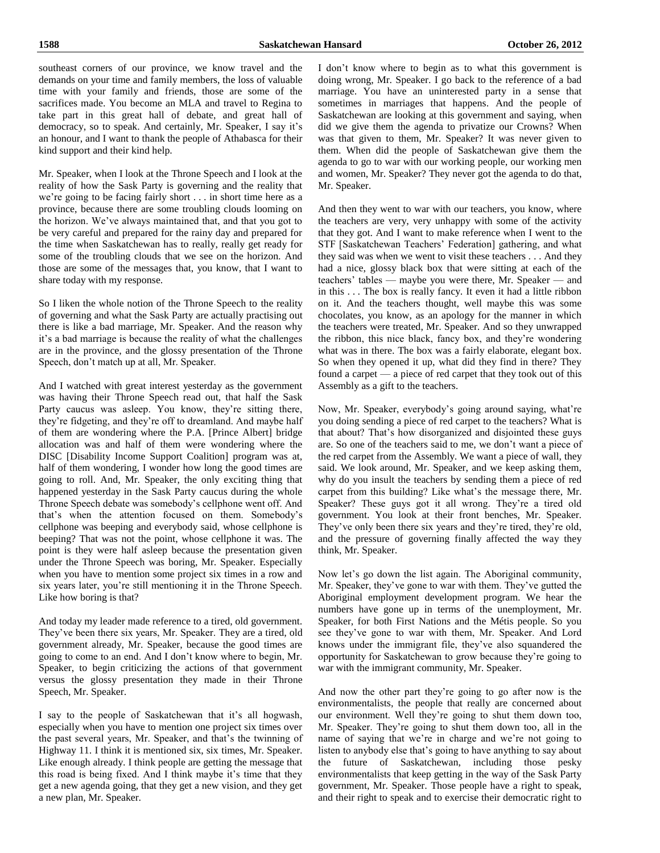southeast corners of our province, we know travel and the demands on your time and family members, the loss of valuable time with your family and friends, those are some of the sacrifices made. You become an MLA and travel to Regina to take part in this great hall of debate, and great hall of democracy, so to speak. And certainly, Mr. Speaker, I say it's an honour, and I want to thank the people of Athabasca for their kind support and their kind help.

Mr. Speaker, when I look at the Throne Speech and I look at the reality of how the Sask Party is governing and the reality that we're going to be facing fairly short . . . in short time here as a province, because there are some troubling clouds looming on the horizon. We've always maintained that, and that you got to be very careful and prepared for the rainy day and prepared for the time when Saskatchewan has to really, really get ready for some of the troubling clouds that we see on the horizon. And those are some of the messages that, you know, that I want to share today with my response.

So I liken the whole notion of the Throne Speech to the reality of governing and what the Sask Party are actually practising out there is like a bad marriage, Mr. Speaker. And the reason why it's a bad marriage is because the reality of what the challenges are in the province, and the glossy presentation of the Throne Speech, don't match up at all, Mr. Speaker.

And I watched with great interest yesterday as the government was having their Throne Speech read out, that half the Sask Party caucus was asleep. You know, they're sitting there, they're fidgeting, and they're off to dreamland. And maybe half of them are wondering where the P.A. [Prince Albert] bridge allocation was and half of them were wondering where the DISC [Disability Income Support Coalition] program was at, half of them wondering, I wonder how long the good times are going to roll. And, Mr. Speaker, the only exciting thing that happened yesterday in the Sask Party caucus during the whole Throne Speech debate was somebody's cellphone went off. And that's when the attention focused on them. Somebody's cellphone was beeping and everybody said, whose cellphone is beeping? That was not the point, whose cellphone it was. The point is they were half asleep because the presentation given under the Throne Speech was boring, Mr. Speaker. Especially when you have to mention some project six times in a row and six years later, you're still mentioning it in the Throne Speech. Like how boring is that?

And today my leader made reference to a tired, old government. They've been there six years, Mr. Speaker. They are a tired, old government already, Mr. Speaker, because the good times are going to come to an end. And I don't know where to begin, Mr. Speaker, to begin criticizing the actions of that government versus the glossy presentation they made in their Throne Speech, Mr. Speaker.

I say to the people of Saskatchewan that it's all hogwash, especially when you have to mention one project six times over the past several years, Mr. Speaker, and that's the twinning of Highway 11. I think it is mentioned six, six times, Mr. Speaker. Like enough already. I think people are getting the message that this road is being fixed. And I think maybe it's time that they get a new agenda going, that they get a new vision, and they get a new plan, Mr. Speaker.

I don't know where to begin as to what this government is doing wrong, Mr. Speaker. I go back to the reference of a bad marriage. You have an uninterested party in a sense that sometimes in marriages that happens. And the people of Saskatchewan are looking at this government and saying, when did we give them the agenda to privatize our Crowns? When was that given to them, Mr. Speaker? It was never given to them. When did the people of Saskatchewan give them the agenda to go to war with our working people, our working men and women, Mr. Speaker? They never got the agenda to do that, Mr. Speaker.

And then they went to war with our teachers, you know, where the teachers are very, very unhappy with some of the activity that they got. And I want to make reference when I went to the STF [Saskatchewan Teachers' Federation] gathering, and what they said was when we went to visit these teachers . . . And they had a nice, glossy black box that were sitting at each of the teachers' tables — maybe you were there, Mr. Speaker — and in this . . . The box is really fancy. It even it had a little ribbon on it. And the teachers thought, well maybe this was some chocolates, you know, as an apology for the manner in which the teachers were treated, Mr. Speaker. And so they unwrapped the ribbon, this nice black, fancy box, and they're wondering what was in there. The box was a fairly elaborate, elegant box. So when they opened it up, what did they find in there? They found a carpet — a piece of red carpet that they took out of this Assembly as a gift to the teachers.

Now, Mr. Speaker, everybody's going around saying, what're you doing sending a piece of red carpet to the teachers? What is that about? That's how disorganized and disjointed these guys are. So one of the teachers said to me, we don't want a piece of the red carpet from the Assembly. We want a piece of wall, they said. We look around, Mr. Speaker, and we keep asking them, why do you insult the teachers by sending them a piece of red carpet from this building? Like what's the message there, Mr. Speaker? These guys got it all wrong. They're a tired old government. You look at their front benches, Mr. Speaker. They've only been there six years and they're tired, they're old, and the pressure of governing finally affected the way they think, Mr. Speaker.

Now let's go down the list again. The Aboriginal community, Mr. Speaker, they've gone to war with them. They've gutted the Aboriginal employment development program. We hear the numbers have gone up in terms of the unemployment, Mr. Speaker, for both First Nations and the Métis people. So you see they've gone to war with them, Mr. Speaker. And Lord knows under the immigrant file, they've also squandered the opportunity for Saskatchewan to grow because they're going to war with the immigrant community, Mr. Speaker.

And now the other part they're going to go after now is the environmentalists, the people that really are concerned about our environment. Well they're going to shut them down too, Mr. Speaker. They're going to shut them down too, all in the name of saying that we're in charge and we're not going to listen to anybody else that's going to have anything to say about the future of Saskatchewan, including those pesky environmentalists that keep getting in the way of the Sask Party government, Mr. Speaker. Those people have a right to speak, and their right to speak and to exercise their democratic right to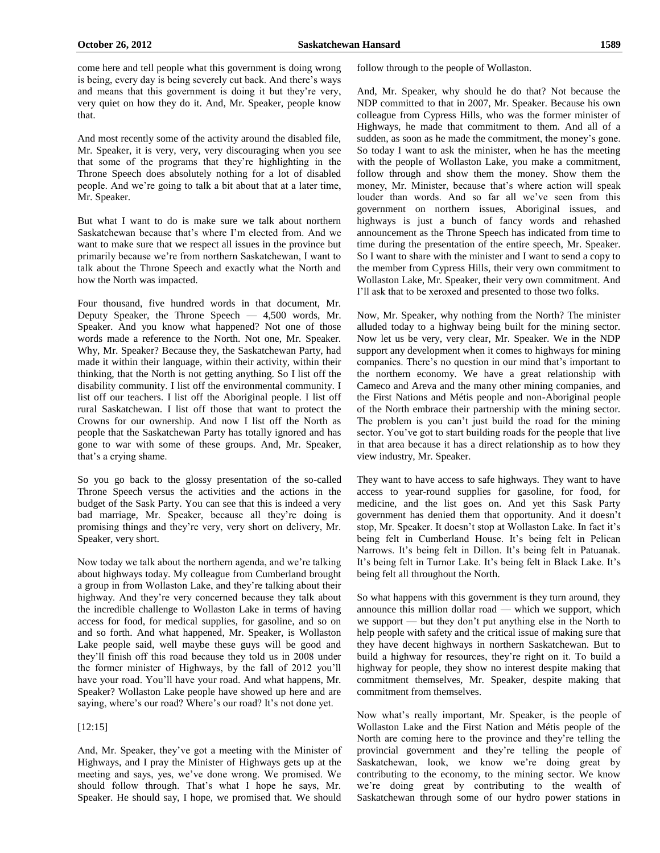come here and tell people what this government is doing wrong is being, every day is being severely cut back. And there's ways and means that this government is doing it but they're very, very quiet on how they do it. And, Mr. Speaker, people know that.

And most recently some of the activity around the disabled file, Mr. Speaker, it is very, very, very discouraging when you see that some of the programs that they're highlighting in the Throne Speech does absolutely nothing for a lot of disabled people. And we're going to talk a bit about that at a later time, Mr. Speaker.

But what I want to do is make sure we talk about northern Saskatchewan because that's where I'm elected from. And we want to make sure that we respect all issues in the province but primarily because we're from northern Saskatchewan, I want to talk about the Throne Speech and exactly what the North and how the North was impacted.

Four thousand, five hundred words in that document, Mr. Deputy Speaker, the Throne Speech — 4,500 words, Mr. Speaker. And you know what happened? Not one of those words made a reference to the North. Not one, Mr. Speaker. Why, Mr. Speaker? Because they, the Saskatchewan Party, had made it within their language, within their activity, within their thinking, that the North is not getting anything. So I list off the disability community. I list off the environmental community. I list off our teachers. I list off the Aboriginal people. I list off rural Saskatchewan. I list off those that want to protect the Crowns for our ownership. And now I list off the North as people that the Saskatchewan Party has totally ignored and has gone to war with some of these groups. And, Mr. Speaker, that's a crying shame.

So you go back to the glossy presentation of the so-called Throne Speech versus the activities and the actions in the budget of the Sask Party. You can see that this is indeed a very bad marriage, Mr. Speaker, because all they're doing is promising things and they're very, very short on delivery, Mr. Speaker, very short.

Now today we talk about the northern agenda, and we're talking about highways today. My colleague from Cumberland brought a group in from Wollaston Lake, and they're talking about their highway. And they're very concerned because they talk about the incredible challenge to Wollaston Lake in terms of having access for food, for medical supplies, for gasoline, and so on and so forth. And what happened, Mr. Speaker, is Wollaston Lake people said, well maybe these guys will be good and they'll finish off this road because they told us in 2008 under the former minister of Highways, by the fall of 2012 you'll have your road. You'll have your road. And what happens, Mr. Speaker? Wollaston Lake people have showed up here and are saying, where's our road? Where's our road? It's not done yet.

#### [12:15]

And, Mr. Speaker, they've got a meeting with the Minister of Highways, and I pray the Minister of Highways gets up at the meeting and says, yes, we've done wrong. We promised. We should follow through. That's what I hope he says, Mr. Speaker. He should say, I hope, we promised that. We should follow through to the people of Wollaston.

And, Mr. Speaker, why should he do that? Not because the NDP committed to that in 2007, Mr. Speaker. Because his own colleague from Cypress Hills, who was the former minister of Highways, he made that commitment to them. And all of a sudden, as soon as he made the commitment, the money's gone. So today I want to ask the minister, when he has the meeting with the people of Wollaston Lake, you make a commitment, follow through and show them the money. Show them the money, Mr. Minister, because that's where action will speak louder than words. And so far all we've seen from this government on northern issues, Aboriginal issues, and highways is just a bunch of fancy words and rehashed announcement as the Throne Speech has indicated from time to time during the presentation of the entire speech, Mr. Speaker. So I want to share with the minister and I want to send a copy to the member from Cypress Hills, their very own commitment to Wollaston Lake, Mr. Speaker, their very own commitment. And I'll ask that to be xeroxed and presented to those two folks.

Now, Mr. Speaker, why nothing from the North? The minister alluded today to a highway being built for the mining sector. Now let us be very, very clear, Mr. Speaker. We in the NDP support any development when it comes to highways for mining companies. There's no question in our mind that's important to the northern economy. We have a great relationship with Cameco and Areva and the many other mining companies, and the First Nations and Métis people and non-Aboriginal people of the North embrace their partnership with the mining sector. The problem is you can't just build the road for the mining sector. You've got to start building roads for the people that live in that area because it has a direct relationship as to how they view industry, Mr. Speaker.

They want to have access to safe highways. They want to have access to year-round supplies for gasoline, for food, for medicine, and the list goes on. And yet this Sask Party government has denied them that opportunity. And it doesn't stop, Mr. Speaker. It doesn't stop at Wollaston Lake. In fact it's being felt in Cumberland House. It's being felt in Pelican Narrows. It's being felt in Dillon. It's being felt in Patuanak. It's being felt in Turnor Lake. It's being felt in Black Lake. It's being felt all throughout the North.

So what happens with this government is they turn around, they announce this million dollar road — which we support, which we support — but they don't put anything else in the North to help people with safety and the critical issue of making sure that they have decent highways in northern Saskatchewan. But to build a highway for resources, they're right on it. To build a highway for people, they show no interest despite making that commitment themselves, Mr. Speaker, despite making that commitment from themselves.

Now what's really important, Mr. Speaker, is the people of Wollaston Lake and the First Nation and Métis people of the North are coming here to the province and they're telling the provincial government and they're telling the people of Saskatchewan, look, we know we're doing great by contributing to the economy, to the mining sector. We know we're doing great by contributing to the wealth of Saskatchewan through some of our hydro power stations in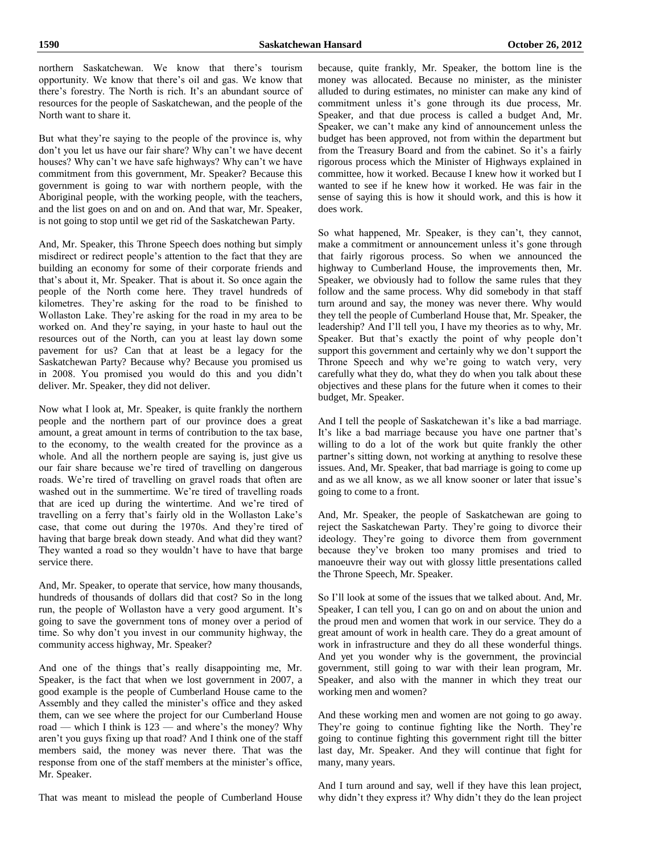northern Saskatchewan. We know that there's tourism opportunity. We know that there's oil and gas. We know that there's forestry. The North is rich. It's an abundant source of resources for the people of Saskatchewan, and the people of the North want to share it.

But what they're saying to the people of the province is, why don't you let us have our fair share? Why can't we have decent houses? Why can't we have safe highways? Why can't we have commitment from this government, Mr. Speaker? Because this government is going to war with northern people, with the Aboriginal people, with the working people, with the teachers, and the list goes on and on and on. And that war, Mr. Speaker, is not going to stop until we get rid of the Saskatchewan Party.

And, Mr. Speaker, this Throne Speech does nothing but simply misdirect or redirect people's attention to the fact that they are building an economy for some of their corporate friends and that's about it, Mr. Speaker. That is about it. So once again the people of the North come here. They travel hundreds of kilometres. They're asking for the road to be finished to Wollaston Lake. They're asking for the road in my area to be worked on. And they're saying, in your haste to haul out the resources out of the North, can you at least lay down some pavement for us? Can that at least be a legacy for the Saskatchewan Party? Because why? Because you promised us in 2008. You promised you would do this and you didn't deliver. Mr. Speaker, they did not deliver.

Now what I look at, Mr. Speaker, is quite frankly the northern people and the northern part of our province does a great amount, a great amount in terms of contribution to the tax base, to the economy, to the wealth created for the province as a whole. And all the northern people are saying is, just give us our fair share because we're tired of travelling on dangerous roads. We're tired of travelling on gravel roads that often are washed out in the summertime. We're tired of travelling roads that are iced up during the wintertime. And we're tired of travelling on a ferry that's fairly old in the Wollaston Lake's case, that come out during the 1970s. And they're tired of having that barge break down steady. And what did they want? They wanted a road so they wouldn't have to have that barge service there.

And, Mr. Speaker, to operate that service, how many thousands, hundreds of thousands of dollars did that cost? So in the long run, the people of Wollaston have a very good argument. It's going to save the government tons of money over a period of time. So why don't you invest in our community highway, the community access highway, Mr. Speaker?

And one of the things that's really disappointing me, Mr. Speaker, is the fact that when we lost government in 2007, a good example is the people of Cumberland House came to the Assembly and they called the minister's office and they asked them, can we see where the project for our Cumberland House road — which I think is 123 — and where's the money? Why aren't you guys fixing up that road? And I think one of the staff members said, the money was never there. That was the response from one of the staff members at the minister's office, Mr. Speaker.

because, quite frankly, Mr. Speaker, the bottom line is the money was allocated. Because no minister, as the minister alluded to during estimates, no minister can make any kind of commitment unless it's gone through its due process, Mr. Speaker, and that due process is called a budget And, Mr. Speaker, we can't make any kind of announcement unless the budget has been approved, not from within the department but from the Treasury Board and from the cabinet. So it's a fairly rigorous process which the Minister of Highways explained in committee, how it worked. Because I knew how it worked but I wanted to see if he knew how it worked. He was fair in the sense of saying this is how it should work, and this is how it does work.

So what happened, Mr. Speaker, is they can't, they cannot, make a commitment or announcement unless it's gone through that fairly rigorous process. So when we announced the highway to Cumberland House, the improvements then, Mr. Speaker, we obviously had to follow the same rules that they follow and the same process. Why did somebody in that staff turn around and say, the money was never there. Why would they tell the people of Cumberland House that, Mr. Speaker, the leadership? And I'll tell you, I have my theories as to why, Mr. Speaker. But that's exactly the point of why people don't support this government and certainly why we don't support the Throne Speech and why we're going to watch very, very carefully what they do, what they do when you talk about these objectives and these plans for the future when it comes to their budget, Mr. Speaker.

And I tell the people of Saskatchewan it's like a bad marriage. It's like a bad marriage because you have one partner that's willing to do a lot of the work but quite frankly the other partner's sitting down, not working at anything to resolve these issues. And, Mr. Speaker, that bad marriage is going to come up and as we all know, as we all know sooner or later that issue's going to come to a front.

And, Mr. Speaker, the people of Saskatchewan are going to reject the Saskatchewan Party. They're going to divorce their ideology. They're going to divorce them from government because they've broken too many promises and tried to manoeuvre their way out with glossy little presentations called the Throne Speech, Mr. Speaker.

So I'll look at some of the issues that we talked about. And, Mr. Speaker, I can tell you, I can go on and on about the union and the proud men and women that work in our service. They do a great amount of work in health care. They do a great amount of work in infrastructure and they do all these wonderful things. And yet you wonder why is the government, the provincial government, still going to war with their lean program, Mr. Speaker, and also with the manner in which they treat our working men and women?

And these working men and women are not going to go away. They're going to continue fighting like the North. They're going to continue fighting this government right till the bitter last day, Mr. Speaker. And they will continue that fight for many, many years.

That was meant to mislead the people of Cumberland House

And I turn around and say, well if they have this lean project, why didn't they express it? Why didn't they do the lean project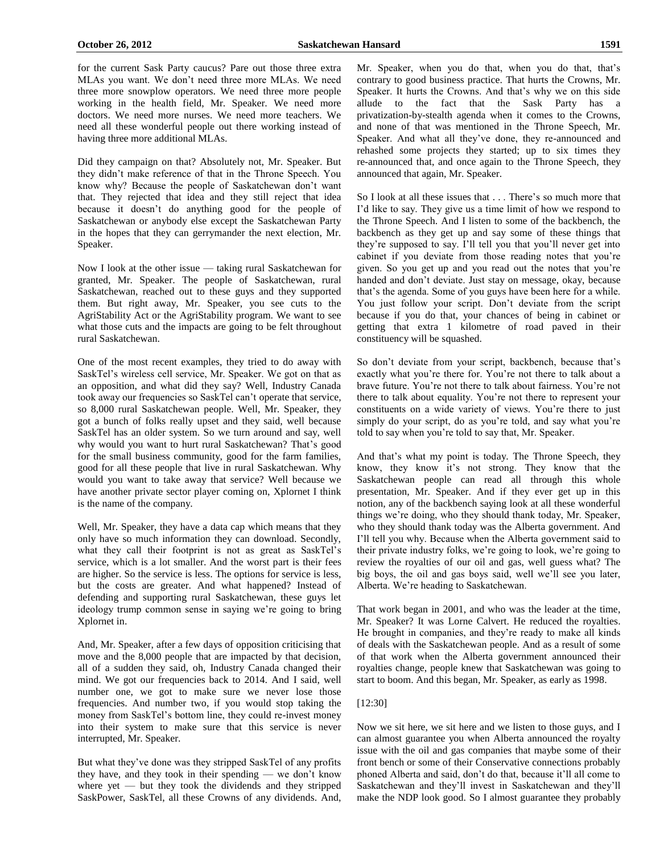for the current Sask Party caucus? Pare out those three extra MLAs you want. We don't need three more MLAs. We need three more snowplow operators. We need three more people working in the health field, Mr. Speaker. We need more doctors. We need more nurses. We need more teachers. We need all these wonderful people out there working instead of having three more additional MLAs.

Did they campaign on that? Absolutely not, Mr. Speaker. But they didn't make reference of that in the Throne Speech. You know why? Because the people of Saskatchewan don't want that. They rejected that idea and they still reject that idea because it doesn't do anything good for the people of Saskatchewan or anybody else except the Saskatchewan Party in the hopes that they can gerrymander the next election, Mr. Speaker.

Now I look at the other issue — taking rural Saskatchewan for granted, Mr. Speaker. The people of Saskatchewan, rural Saskatchewan, reached out to these guys and they supported them. But right away, Mr. Speaker, you see cuts to the AgriStability Act or the AgriStability program. We want to see what those cuts and the impacts are going to be felt throughout rural Saskatchewan.

One of the most recent examples, they tried to do away with SaskTel's wireless cell service, Mr. Speaker. We got on that as an opposition, and what did they say? Well, Industry Canada took away our frequencies so SaskTel can't operate that service, so 8,000 rural Saskatchewan people. Well, Mr. Speaker, they got a bunch of folks really upset and they said, well because SaskTel has an older system. So we turn around and say, well why would you want to hurt rural Saskatchewan? That's good for the small business community, good for the farm families, good for all these people that live in rural Saskatchewan. Why would you want to take away that service? Well because we have another private sector player coming on, Xplornet I think is the name of the company.

Well, Mr. Speaker, they have a data cap which means that they only have so much information they can download. Secondly, what they call their footprint is not as great as SaskTel's service, which is a lot smaller. And the worst part is their fees are higher. So the service is less. The options for service is less, but the costs are greater. And what happened? Instead of defending and supporting rural Saskatchewan, these guys let ideology trump common sense in saying we're going to bring Xplornet in.

And, Mr. Speaker, after a few days of opposition criticising that move and the 8,000 people that are impacted by that decision, all of a sudden they said, oh, Industry Canada changed their mind. We got our frequencies back to 2014. And I said, well number one, we got to make sure we never lose those frequencies. And number two, if you would stop taking the money from SaskTel's bottom line, they could re-invest money into their system to make sure that this service is never interrupted, Mr. Speaker.

But what they've done was they stripped SaskTel of any profits they have, and they took in their spending — we don't know where yet — but they took the dividends and they stripped SaskPower, SaskTel, all these Crowns of any dividends. And, Mr. Speaker, when you do that, when you do that, that's contrary to good business practice. That hurts the Crowns, Mr. Speaker. It hurts the Crowns. And that's why we on this side allude to the fact that the Sask Party has a privatization-by-stealth agenda when it comes to the Crowns, and none of that was mentioned in the Throne Speech, Mr. Speaker. And what all they've done, they re-announced and rehashed some projects they started; up to six times they re-announced that, and once again to the Throne Speech, they announced that again, Mr. Speaker.

So I look at all these issues that . . . There's so much more that I'd like to say. They give us a time limit of how we respond to the Throne Speech. And I listen to some of the backbench, the backbench as they get up and say some of these things that they're supposed to say. I'll tell you that you'll never get into cabinet if you deviate from those reading notes that you're given. So you get up and you read out the notes that you're handed and don't deviate. Just stay on message, okay, because that's the agenda. Some of you guys have been here for a while. You just follow your script. Don't deviate from the script because if you do that, your chances of being in cabinet or getting that extra 1 kilometre of road paved in their constituency will be squashed.

So don't deviate from your script, backbench, because that's exactly what you're there for. You're not there to talk about a brave future. You're not there to talk about fairness. You're not there to talk about equality. You're not there to represent your constituents on a wide variety of views. You're there to just simply do your script, do as you're told, and say what you're told to say when you're told to say that, Mr. Speaker.

And that's what my point is today. The Throne Speech, they know, they know it's not strong. They know that the Saskatchewan people can read all through this whole presentation, Mr. Speaker. And if they ever get up in this notion, any of the backbench saying look at all these wonderful things we're doing, who they should thank today, Mr. Speaker, who they should thank today was the Alberta government. And I'll tell you why. Because when the Alberta government said to their private industry folks, we're going to look, we're going to review the royalties of our oil and gas, well guess what? The big boys, the oil and gas boys said, well we'll see you later, Alberta. We're heading to Saskatchewan.

That work began in 2001, and who was the leader at the time, Mr. Speaker? It was Lorne Calvert. He reduced the royalties. He brought in companies, and they're ready to make all kinds of deals with the Saskatchewan people. And as a result of some of that work when the Alberta government announced their royalties change, people knew that Saskatchewan was going to start to boom. And this began, Mr. Speaker, as early as 1998.

# [12:30]

Now we sit here, we sit here and we listen to those guys, and I can almost guarantee you when Alberta announced the royalty issue with the oil and gas companies that maybe some of their front bench or some of their Conservative connections probably phoned Alberta and said, don't do that, because it'll all come to Saskatchewan and they'll invest in Saskatchewan and they'll make the NDP look good. So I almost guarantee they probably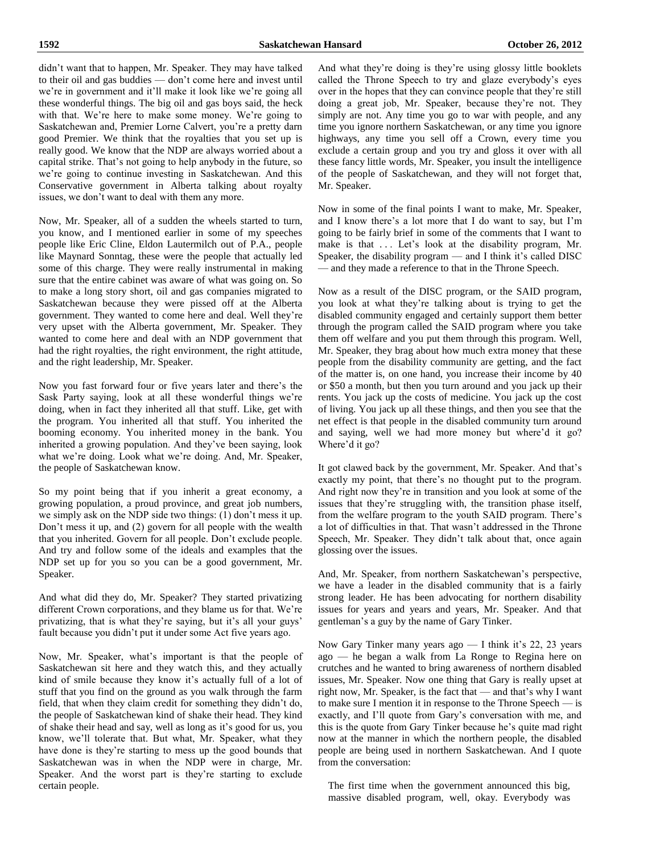didn't want that to happen, Mr. Speaker. They may have talked to their oil and gas buddies — don't come here and invest until we're in government and it'll make it look like we're going all these wonderful things. The big oil and gas boys said, the heck with that. We're here to make some money. We're going to Saskatchewan and, Premier Lorne Calvert, you're a pretty darn good Premier. We think that the royalties that you set up is really good. We know that the NDP are always worried about a capital strike. That's not going to help anybody in the future, so we're going to continue investing in Saskatchewan. And this Conservative government in Alberta talking about royalty issues, we don't want to deal with them any more.

Now, Mr. Speaker, all of a sudden the wheels started to turn, you know, and I mentioned earlier in some of my speeches people like Eric Cline, Eldon Lautermilch out of P.A., people like Maynard Sonntag, these were the people that actually led some of this charge. They were really instrumental in making sure that the entire cabinet was aware of what was going on. So to make a long story short, oil and gas companies migrated to Saskatchewan because they were pissed off at the Alberta government. They wanted to come here and deal. Well they're very upset with the Alberta government, Mr. Speaker. They wanted to come here and deal with an NDP government that had the right royalties, the right environment, the right attitude, and the right leadership, Mr. Speaker.

Now you fast forward four or five years later and there's the Sask Party saying, look at all these wonderful things we're doing, when in fact they inherited all that stuff. Like, get with the program. You inherited all that stuff. You inherited the booming economy. You inherited money in the bank. You inherited a growing population. And they've been saying, look what we're doing. Look what we're doing. And, Mr. Speaker, the people of Saskatchewan know.

So my point being that if you inherit a great economy, a growing population, a proud province, and great job numbers, we simply ask on the NDP side two things: (1) don't mess it up. Don't mess it up, and (2) govern for all people with the wealth that you inherited. Govern for all people. Don't exclude people. And try and follow some of the ideals and examples that the NDP set up for you so you can be a good government, Mr. Speaker.

And what did they do, Mr. Speaker? They started privatizing different Crown corporations, and they blame us for that. We're privatizing, that is what they're saying, but it's all your guys' fault because you didn't put it under some Act five years ago.

Now, Mr. Speaker, what's important is that the people of Saskatchewan sit here and they watch this, and they actually kind of smile because they know it's actually full of a lot of stuff that you find on the ground as you walk through the farm field, that when they claim credit for something they didn't do, the people of Saskatchewan kind of shake their head. They kind of shake their head and say, well as long as it's good for us, you know, we'll tolerate that. But what, Mr. Speaker, what they have done is they're starting to mess up the good bounds that Saskatchewan was in when the NDP were in charge, Mr. Speaker. And the worst part is they're starting to exclude certain people.

And what they're doing is they're using glossy little booklets called the Throne Speech to try and glaze everybody's eyes over in the hopes that they can convince people that they're still doing a great job, Mr. Speaker, because they're not. They simply are not. Any time you go to war with people, and any time you ignore northern Saskatchewan, or any time you ignore highways, any time you sell off a Crown, every time you exclude a certain group and you try and gloss it over with all these fancy little words, Mr. Speaker, you insult the intelligence of the people of Saskatchewan, and they will not forget that, Mr. Speaker.

Now in some of the final points I want to make, Mr. Speaker, and I know there's a lot more that I do want to say, but I'm going to be fairly brief in some of the comments that I want to make is that ... Let's look at the disability program, Mr. Speaker, the disability program — and I think it's called DISC — and they made a reference to that in the Throne Speech.

Now as a result of the DISC program, or the SAID program, you look at what they're talking about is trying to get the disabled community engaged and certainly support them better through the program called the SAID program where you take them off welfare and you put them through this program. Well, Mr. Speaker, they brag about how much extra money that these people from the disability community are getting, and the fact of the matter is, on one hand, you increase their income by 40 or \$50 a month, but then you turn around and you jack up their rents. You jack up the costs of medicine. You jack up the cost of living. You jack up all these things, and then you see that the net effect is that people in the disabled community turn around and saying, well we had more money but where'd it go? Where'd it go?

It got clawed back by the government, Mr. Speaker. And that's exactly my point, that there's no thought put to the program. And right now they're in transition and you look at some of the issues that they're struggling with, the transition phase itself, from the welfare program to the youth SAID program. There's a lot of difficulties in that. That wasn't addressed in the Throne Speech, Mr. Speaker. They didn't talk about that, once again glossing over the issues.

And, Mr. Speaker, from northern Saskatchewan's perspective, we have a leader in the disabled community that is a fairly strong leader. He has been advocating for northern disability issues for years and years and years, Mr. Speaker. And that gentleman's a guy by the name of Gary Tinker.

Now Gary Tinker many years ago — I think it's 22, 23 years ago — he began a walk from La Ronge to Regina here on crutches and he wanted to bring awareness of northern disabled issues, Mr. Speaker. Now one thing that Gary is really upset at right now, Mr. Speaker, is the fact that — and that's why I want to make sure I mention it in response to the Throne Speech — is exactly, and I'll quote from Gary's conversation with me, and this is the quote from Gary Tinker because he's quite mad right now at the manner in which the northern people, the disabled people are being used in northern Saskatchewan. And I quote from the conversation:

The first time when the government announced this big, massive disabled program, well, okay. Everybody was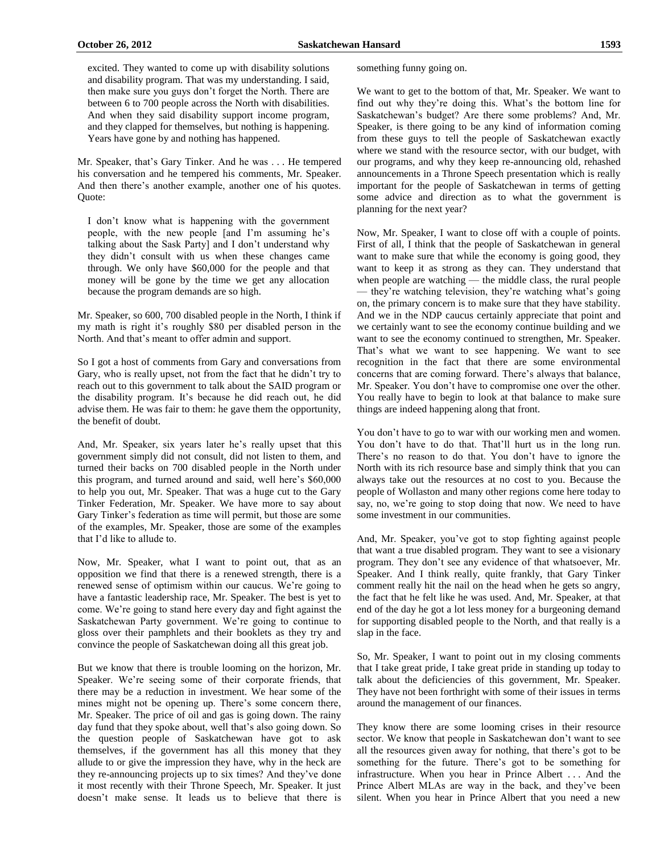excited. They wanted to come up with disability solutions and disability program. That was my understanding. I said, then make sure you guys don't forget the North. There are between 6 to 700 people across the North with disabilities. And when they said disability support income program, and they clapped for themselves, but nothing is happening. Years have gone by and nothing has happened.

Mr. Speaker, that's Gary Tinker. And he was . . . He tempered his conversation and he tempered his comments, Mr. Speaker. And then there's another example, another one of his quotes. Quote:

I don't know what is happening with the government people, with the new people [and I'm assuming he's talking about the Sask Party] and I don't understand why they didn't consult with us when these changes came through. We only have \$60,000 for the people and that money will be gone by the time we get any allocation because the program demands are so high.

Mr. Speaker, so 600, 700 disabled people in the North, I think if my math is right it's roughly \$80 per disabled person in the North. And that's meant to offer admin and support.

So I got a host of comments from Gary and conversations from Gary, who is really upset, not from the fact that he didn't try to reach out to this government to talk about the SAID program or the disability program. It's because he did reach out, he did advise them. He was fair to them: he gave them the opportunity, the benefit of doubt.

And, Mr. Speaker, six years later he's really upset that this government simply did not consult, did not listen to them, and turned their backs on 700 disabled people in the North under this program, and turned around and said, well here's \$60,000 to help you out, Mr. Speaker. That was a huge cut to the Gary Tinker Federation, Mr. Speaker. We have more to say about Gary Tinker's federation as time will permit, but those are some of the examples, Mr. Speaker, those are some of the examples that I'd like to allude to.

Now, Mr. Speaker, what I want to point out, that as an opposition we find that there is a renewed strength, there is a renewed sense of optimism within our caucus. We're going to have a fantastic leadership race, Mr. Speaker. The best is yet to come. We're going to stand here every day and fight against the Saskatchewan Party government. We're going to continue to gloss over their pamphlets and their booklets as they try and convince the people of Saskatchewan doing all this great job.

But we know that there is trouble looming on the horizon, Mr. Speaker. We're seeing some of their corporate friends, that there may be a reduction in investment. We hear some of the mines might not be opening up. There's some concern there, Mr. Speaker. The price of oil and gas is going down. The rainy day fund that they spoke about, well that's also going down. So the question people of Saskatchewan have got to ask themselves, if the government has all this money that they allude to or give the impression they have, why in the heck are they re-announcing projects up to six times? And they've done it most recently with their Throne Speech, Mr. Speaker. It just doesn't make sense. It leads us to believe that there is something funny going on.

We want to get to the bottom of that, Mr. Speaker. We want to find out why they're doing this. What's the bottom line for Saskatchewan's budget? Are there some problems? And, Mr. Speaker, is there going to be any kind of information coming from these guys to tell the people of Saskatchewan exactly where we stand with the resource sector, with our budget, with our programs, and why they keep re-announcing old, rehashed announcements in a Throne Speech presentation which is really important for the people of Saskatchewan in terms of getting some advice and direction as to what the government is planning for the next year?

Now, Mr. Speaker, I want to close off with a couple of points. First of all, I think that the people of Saskatchewan in general want to make sure that while the economy is going good, they want to keep it as strong as they can. They understand that when people are watching — the middle class, the rural people — they're watching television, they're watching what's going on, the primary concern is to make sure that they have stability. And we in the NDP caucus certainly appreciate that point and we certainly want to see the economy continue building and we want to see the economy continued to strengthen, Mr. Speaker. That's what we want to see happening. We want to see recognition in the fact that there are some environmental concerns that are coming forward. There's always that balance, Mr. Speaker. You don't have to compromise one over the other. You really have to begin to look at that balance to make sure things are indeed happening along that front.

You don't have to go to war with our working men and women. You don't have to do that. That'll hurt us in the long run. There's no reason to do that. You don't have to ignore the North with its rich resource base and simply think that you can always take out the resources at no cost to you. Because the people of Wollaston and many other regions come here today to say, no, we're going to stop doing that now. We need to have some investment in our communities.

And, Mr. Speaker, you've got to stop fighting against people that want a true disabled program. They want to see a visionary program. They don't see any evidence of that whatsoever, Mr. Speaker. And I think really, quite frankly, that Gary Tinker comment really hit the nail on the head when he gets so angry, the fact that he felt like he was used. And, Mr. Speaker, at that end of the day he got a lot less money for a burgeoning demand for supporting disabled people to the North, and that really is a slap in the face.

So, Mr. Speaker, I want to point out in my closing comments that I take great pride, I take great pride in standing up today to talk about the deficiencies of this government, Mr. Speaker. They have not been forthright with some of their issues in terms around the management of our finances.

They know there are some looming crises in their resource sector. We know that people in Saskatchewan don't want to see all the resources given away for nothing, that there's got to be something for the future. There's got to be something for infrastructure. When you hear in Prince Albert . . . And the Prince Albert MLAs are way in the back, and they've been silent. When you hear in Prince Albert that you need a new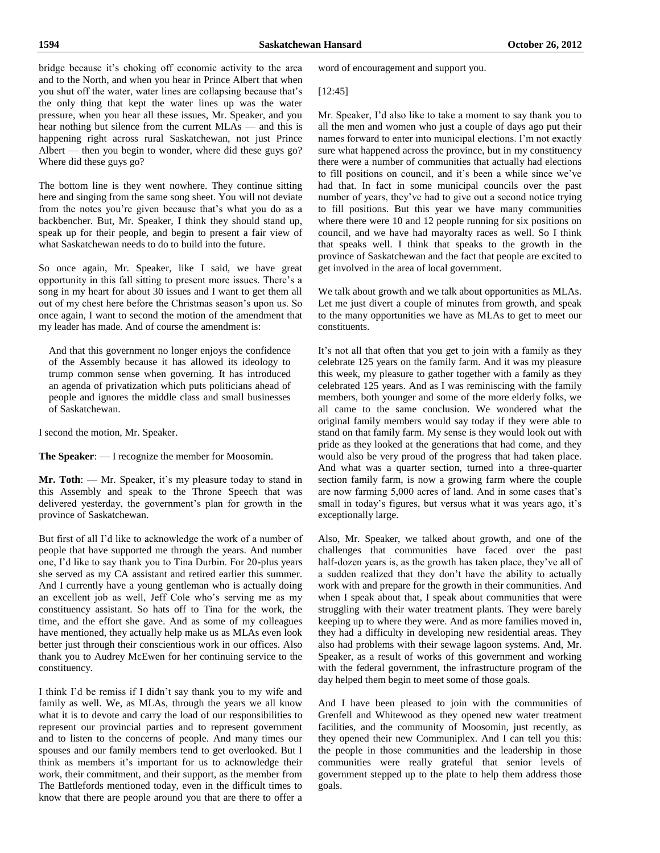bridge because it's choking off economic activity to the area and to the North, and when you hear in Prince Albert that when you shut off the water, water lines are collapsing because that's the only thing that kept the water lines up was the water pressure, when you hear all these issues, Mr. Speaker, and you hear nothing but silence from the current MLAs — and this is happening right across rural Saskatchewan, not just Prince Albert — then you begin to wonder, where did these guys go? Where did these guys go?

The bottom line is they went nowhere. They continue sitting here and singing from the same song sheet. You will not deviate from the notes you're given because that's what you do as a backbencher. But, Mr. Speaker, I think they should stand up, speak up for their people, and begin to present a fair view of what Saskatchewan needs to do to build into the future.

So once again, Mr. Speaker, like I said, we have great opportunity in this fall sitting to present more issues. There's a song in my heart for about 30 issues and I want to get them all out of my chest here before the Christmas season's upon us. So once again, I want to second the motion of the amendment that my leader has made. And of course the amendment is:

And that this government no longer enjoys the confidence of the Assembly because it has allowed its ideology to trump common sense when governing. It has introduced an agenda of privatization which puts politicians ahead of people and ignores the middle class and small businesses of Saskatchewan.

I second the motion, Mr. Speaker.

**The Speaker**: — I recognize the member for Moosomin.

**Mr. Toth**: — Mr. Speaker, it's my pleasure today to stand in this Assembly and speak to the Throne Speech that was delivered yesterday, the government's plan for growth in the province of Saskatchewan.

But first of all I'd like to acknowledge the work of a number of people that have supported me through the years. And number one, I'd like to say thank you to Tina Durbin. For 20-plus years she served as my CA assistant and retired earlier this summer. And I currently have a young gentleman who is actually doing an excellent job as well, Jeff Cole who's serving me as my constituency assistant. So hats off to Tina for the work, the time, and the effort she gave. And as some of my colleagues have mentioned, they actually help make us as MLAs even look better just through their conscientious work in our offices. Also thank you to Audrey McEwen for her continuing service to the constituency.

I think I'd be remiss if I didn't say thank you to my wife and family as well. We, as MLAs, through the years we all know what it is to devote and carry the load of our responsibilities to represent our provincial parties and to represent government and to listen to the concerns of people. And many times our spouses and our family members tend to get overlooked. But I think as members it's important for us to acknowledge their work, their commitment, and their support, as the member from The Battlefords mentioned today, even in the difficult times to know that there are people around you that are there to offer a

word of encouragement and support you.

#### [12:45]

Mr. Speaker, I'd also like to take a moment to say thank you to all the men and women who just a couple of days ago put their names forward to enter into municipal elections. I'm not exactly sure what happened across the province, but in my constituency there were a number of communities that actually had elections to fill positions on council, and it's been a while since we've had that. In fact in some municipal councils over the past number of years, they've had to give out a second notice trying to fill positions. But this year we have many communities where there were 10 and 12 people running for six positions on council, and we have had mayoralty races as well. So I think that speaks well. I think that speaks to the growth in the province of Saskatchewan and the fact that people are excited to get involved in the area of local government.

We talk about growth and we talk about opportunities as MLAs. Let me just divert a couple of minutes from growth, and speak to the many opportunities we have as MLAs to get to meet our constituents.

It's not all that often that you get to join with a family as they celebrate 125 years on the family farm. And it was my pleasure this week, my pleasure to gather together with a family as they celebrated 125 years. And as I was reminiscing with the family members, both younger and some of the more elderly folks, we all came to the same conclusion. We wondered what the original family members would say today if they were able to stand on that family farm. My sense is they would look out with pride as they looked at the generations that had come, and they would also be very proud of the progress that had taken place. And what was a quarter section, turned into a three-quarter section family farm, is now a growing farm where the couple are now farming 5,000 acres of land. And in some cases that's small in today's figures, but versus what it was years ago, it's exceptionally large.

Also, Mr. Speaker, we talked about growth, and one of the challenges that communities have faced over the past half-dozen years is, as the growth has taken place, they've all of a sudden realized that they don't have the ability to actually work with and prepare for the growth in their communities. And when I speak about that, I speak about communities that were struggling with their water treatment plants. They were barely keeping up to where they were. And as more families moved in, they had a difficulty in developing new residential areas. They also had problems with their sewage lagoon systems. And, Mr. Speaker, as a result of works of this government and working with the federal government, the infrastructure program of the day helped them begin to meet some of those goals.

And I have been pleased to join with the communities of Grenfell and Whitewood as they opened new water treatment facilities, and the community of Moosomin, just recently, as they opened their new Communiplex. And I can tell you this: the people in those communities and the leadership in those communities were really grateful that senior levels of government stepped up to the plate to help them address those goals.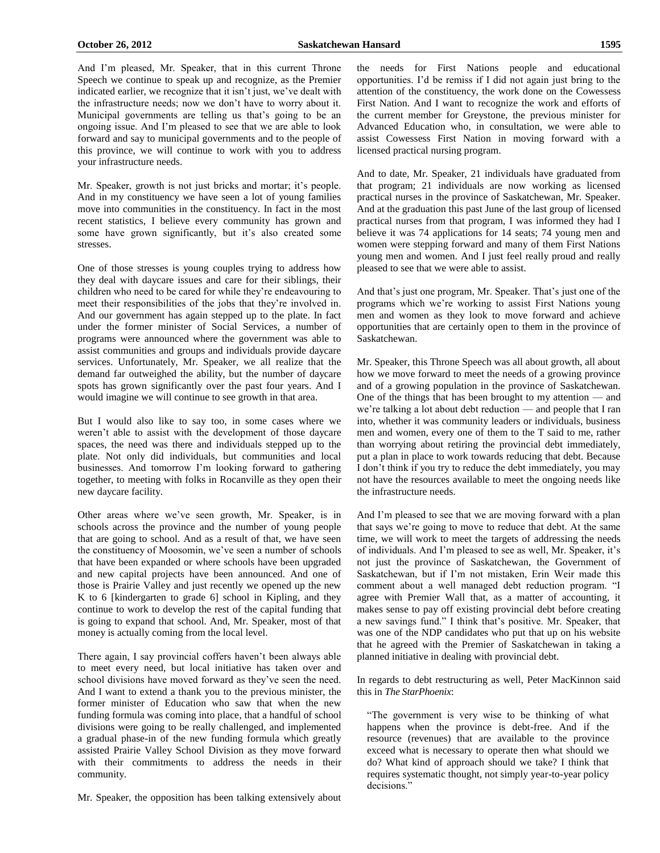And I'm pleased, Mr. Speaker, that in this current Throne Speech we continue to speak up and recognize, as the Premier indicated earlier, we recognize that it isn't just, we've dealt with the infrastructure needs; now we don't have to worry about it. Municipal governments are telling us that's going to be an ongoing issue. And I'm pleased to see that we are able to look forward and say to municipal governments and to the people of this province, we will continue to work with you to address your infrastructure needs.

Mr. Speaker, growth is not just bricks and mortar; it's people. And in my constituency we have seen a lot of young families move into communities in the constituency. In fact in the most recent statistics, I believe every community has grown and some have grown significantly, but it's also created some stresses.

One of those stresses is young couples trying to address how they deal with daycare issues and care for their siblings, their children who need to be cared for while they're endeavouring to meet their responsibilities of the jobs that they're involved in. And our government has again stepped up to the plate. In fact under the former minister of Social Services, a number of programs were announced where the government was able to assist communities and groups and individuals provide daycare services. Unfortunately, Mr. Speaker, we all realize that the demand far outweighed the ability, but the number of daycare spots has grown significantly over the past four years. And I would imagine we will continue to see growth in that area.

But I would also like to say too, in some cases where we weren't able to assist with the development of those daycare spaces, the need was there and individuals stepped up to the plate. Not only did individuals, but communities and local businesses. And tomorrow I'm looking forward to gathering together, to meeting with folks in Rocanville as they open their new daycare facility.

Other areas where we've seen growth, Mr. Speaker, is in schools across the province and the number of young people that are going to school. And as a result of that, we have seen the constituency of Moosomin, we've seen a number of schools that have been expanded or where schools have been upgraded and new capital projects have been announced. And one of those is Prairie Valley and just recently we opened up the new K to 6 [kindergarten to grade 6] school in Kipling, and they continue to work to develop the rest of the capital funding that is going to expand that school. And, Mr. Speaker, most of that money is actually coming from the local level.

There again, I say provincial coffers haven't been always able to meet every need, but local initiative has taken over and school divisions have moved forward as they've seen the need. And I want to extend a thank you to the previous minister, the former minister of Education who saw that when the new funding formula was coming into place, that a handful of school divisions were going to be really challenged, and implemented a gradual phase-in of the new funding formula which greatly assisted Prairie Valley School Division as they move forward with their commitments to address the needs in their community.

Mr. Speaker, the opposition has been talking extensively about

the needs for First Nations people and educational opportunities. I'd be remiss if I did not again just bring to the attention of the constituency, the work done on the Cowessess First Nation. And I want to recognize the work and efforts of the current member for Greystone, the previous minister for Advanced Education who, in consultation, we were able to assist Cowessess First Nation in moving forward with a licensed practical nursing program.

And to date, Mr. Speaker, 21 individuals have graduated from that program; 21 individuals are now working as licensed practical nurses in the province of Saskatchewan, Mr. Speaker. And at the graduation this past June of the last group of licensed practical nurses from that program, I was informed they had I believe it was 74 applications for 14 seats; 74 young men and women were stepping forward and many of them First Nations young men and women. And I just feel really proud and really pleased to see that we were able to assist.

And that's just one program, Mr. Speaker. That's just one of the programs which we're working to assist First Nations young men and women as they look to move forward and achieve opportunities that are certainly open to them in the province of Saskatchewan.

Mr. Speaker, this Throne Speech was all about growth, all about how we move forward to meet the needs of a growing province and of a growing population in the province of Saskatchewan. One of the things that has been brought to my attention — and we're talking a lot about debt reduction — and people that I ran into, whether it was community leaders or individuals, business men and women, every one of them to the T said to me, rather than worrying about retiring the provincial debt immediately, put a plan in place to work towards reducing that debt. Because I don't think if you try to reduce the debt immediately, you may not have the resources available to meet the ongoing needs like the infrastructure needs.

And I'm pleased to see that we are moving forward with a plan that says we're going to move to reduce that debt. At the same time, we will work to meet the targets of addressing the needs of individuals. And I'm pleased to see as well, Mr. Speaker, it's not just the province of Saskatchewan, the Government of Saskatchewan, but if I'm not mistaken, Erin Weir made this comment about a well managed debt reduction program. "I agree with Premier Wall that, as a matter of accounting, it makes sense to pay off existing provincial debt before creating a new savings fund." I think that's positive. Mr. Speaker, that was one of the NDP candidates who put that up on his website that he agreed with the Premier of Saskatchewan in taking a planned initiative in dealing with provincial debt.

In regards to debt restructuring as well, Peter MacKinnon said this in *The StarPhoenix*:

"The government is very wise to be thinking of what happens when the province is debt-free. And if the resource (revenues) that are available to the province exceed what is necessary to operate then what should we do? What kind of approach should we take? I think that requires systematic thought, not simply year-to-year policy decisions."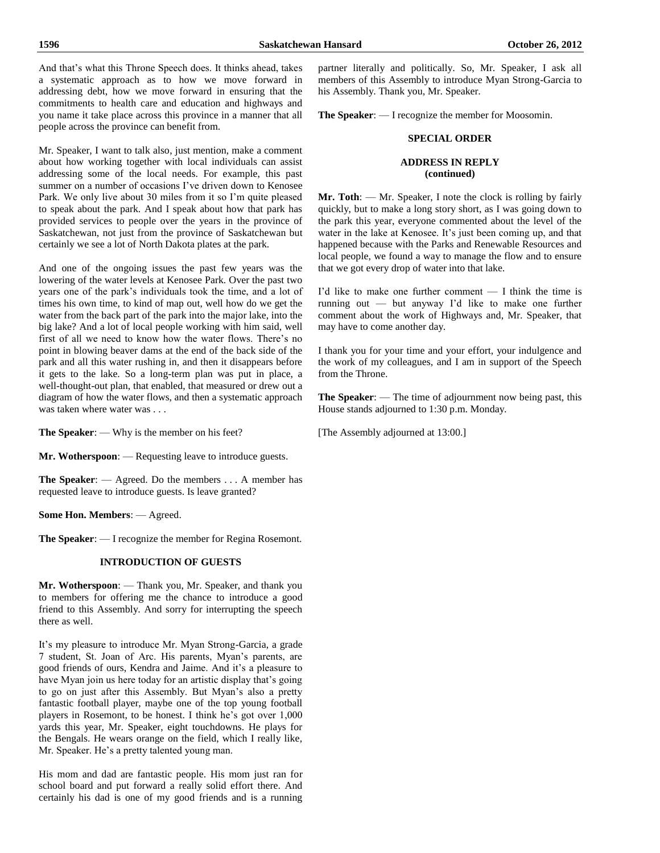And that's what this Throne Speech does. It thinks ahead, takes a systematic approach as to how we move forward in addressing debt, how we move forward in ensuring that the commitments to health care and education and highways and you name it take place across this province in a manner that all people across the province can benefit from.

Mr. Speaker, I want to talk also, just mention, make a comment about how working together with local individuals can assist addressing some of the local needs. For example, this past summer on a number of occasions I've driven down to Kenosee Park. We only live about 30 miles from it so I'm quite pleased to speak about the park. And I speak about how that park has provided services to people over the years in the province of Saskatchewan, not just from the province of Saskatchewan but certainly we see a lot of North Dakota plates at the park.

And one of the ongoing issues the past few years was the lowering of the water levels at Kenosee Park. Over the past two years one of the park's individuals took the time, and a lot of times his own time, to kind of map out, well how do we get the water from the back part of the park into the major lake, into the big lake? And a lot of local people working with him said, well first of all we need to know how the water flows. There's no point in blowing beaver dams at the end of the back side of the park and all this water rushing in, and then it disappears before it gets to the lake. So a long-term plan was put in place, a well-thought-out plan, that enabled, that measured or drew out a diagram of how the water flows, and then a systematic approach was taken where water was . . .

**The Speaker**: — Why is the member on his feet?

**Mr. Wotherspoon**: — Requesting leave to introduce guests.

**The Speaker**: — Agreed. Do the members . . . A member has requested leave to introduce guests. Is leave granted?

**Some Hon. Members**: — Agreed.

**The Speaker**: — I recognize the member for Regina Rosemont.

# **INTRODUCTION OF GUESTS**

**Mr. Wotherspoon**: — Thank you, Mr. Speaker, and thank you to members for offering me the chance to introduce a good friend to this Assembly. And sorry for interrupting the speech there as well.

It's my pleasure to introduce Mr. Myan Strong-Garcia, a grade 7 student, St. Joan of Arc. His parents, Myan's parents, are good friends of ours, Kendra and Jaime. And it's a pleasure to have Myan join us here today for an artistic display that's going to go on just after this Assembly. But Myan's also a pretty fantastic football player, maybe one of the top young football players in Rosemont, to be honest. I think he's got over 1,000 yards this year, Mr. Speaker, eight touchdowns. He plays for the Bengals. He wears orange on the field, which I really like, Mr. Speaker. He's a pretty talented young man.

His mom and dad are fantastic people. His mom just ran for school board and put forward a really solid effort there. And certainly his dad is one of my good friends and is a running partner literally and politically. So, Mr. Speaker, I ask all members of this Assembly to introduce Myan Strong-Garcia to his Assembly. Thank you, Mr. Speaker.

**The Speaker**: — I recognize the member for Moosomin.

#### **SPECIAL ORDER**

# **ADDRESS IN REPLY (continued)**

**Mr. Toth**: — Mr. Speaker, I note the clock is rolling by fairly quickly, but to make a long story short, as I was going down to the park this year, everyone commented about the level of the water in the lake at Kenosee. It's just been coming up, and that happened because with the Parks and Renewable Resources and local people, we found a way to manage the flow and to ensure that we got every drop of water into that lake.

I'd like to make one further comment — I think the time is running out — but anyway I'd like to make one further comment about the work of Highways and, Mr. Speaker, that may have to come another day.

I thank you for your time and your effort, your indulgence and the work of my colleagues, and I am in support of the Speech from the Throne.

**The Speaker**: — The time of adjournment now being past, this House stands adjourned to 1:30 p.m. Monday.

[The Assembly adjourned at 13:00.]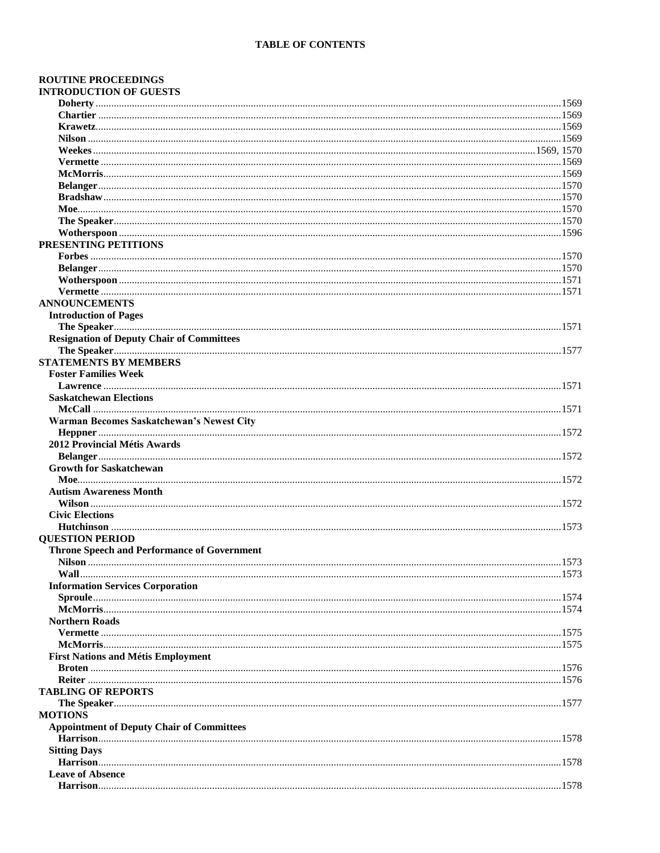# **ROUTINE PROCEEDINGS INTRODUCTION OF GUESTS**

| PRESENTING PETITIONS                               |  |
|----------------------------------------------------|--|
|                                                    |  |
|                                                    |  |
|                                                    |  |
|                                                    |  |
| <b>ANNOUNCEMENTS</b>                               |  |
| <b>Introduction of Pages</b>                       |  |
|                                                    |  |
| <b>Resignation of Deputy Chair of Committees</b>   |  |
|                                                    |  |
| <b>STATEMENTS BY MEMBERS</b>                       |  |
| <b>Foster Families Week</b>                        |  |
|                                                    |  |
| <b>Saskatchewan Elections</b>                      |  |
|                                                    |  |
| Warman Becomes Saskatchewan's Newest City          |  |
|                                                    |  |
| 2012 Provincial Métis Awards                       |  |
|                                                    |  |
| <b>Growth for Saskatchewan</b>                     |  |
|                                                    |  |
| <b>Autism Awareness Month</b>                      |  |
|                                                    |  |
| <b>Civic Elections</b>                             |  |
|                                                    |  |
| <b>QUESTION PERIOD</b>                             |  |
| <b>Throne Speech and Performance of Government</b> |  |
|                                                    |  |
|                                                    |  |
| <b>Information Services Corporation</b>            |  |
|                                                    |  |
|                                                    |  |
| <b>Northern Roads</b>                              |  |
|                                                    |  |
|                                                    |  |
| <b>First Nations and Métis Employment</b>          |  |
|                                                    |  |
|                                                    |  |
| <b>TABLING OF REPORTS</b>                          |  |
|                                                    |  |
| <b>MOTIONS</b>                                     |  |
| <b>Appointment of Deputy Chair of Committees</b>   |  |
|                                                    |  |
| <b>Sitting Days</b>                                |  |
|                                                    |  |
| <b>Leave of Absence</b>                            |  |
|                                                    |  |
|                                                    |  |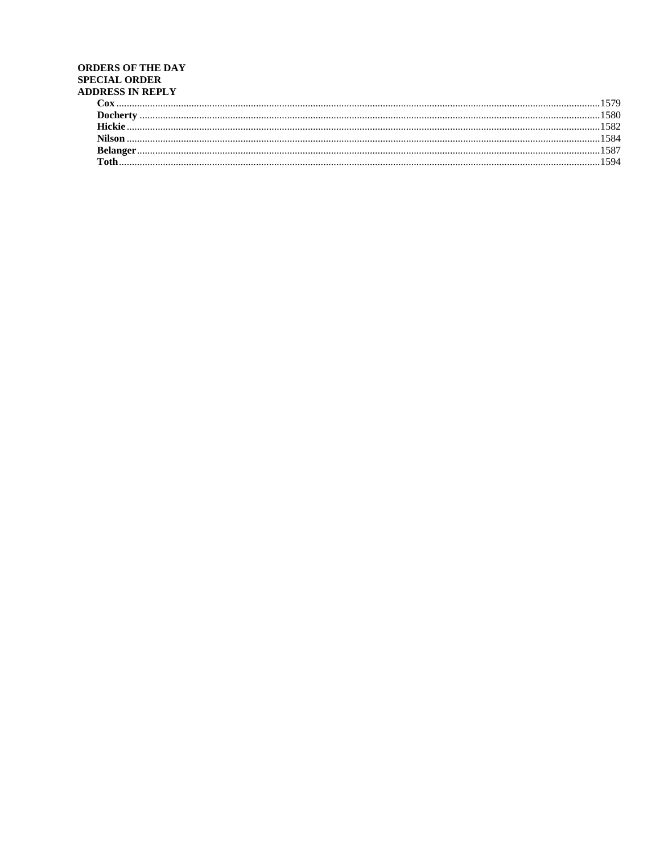# **ORDERS OF THE DAY SPECIAL ORDER** ADDRESS IN REPLY